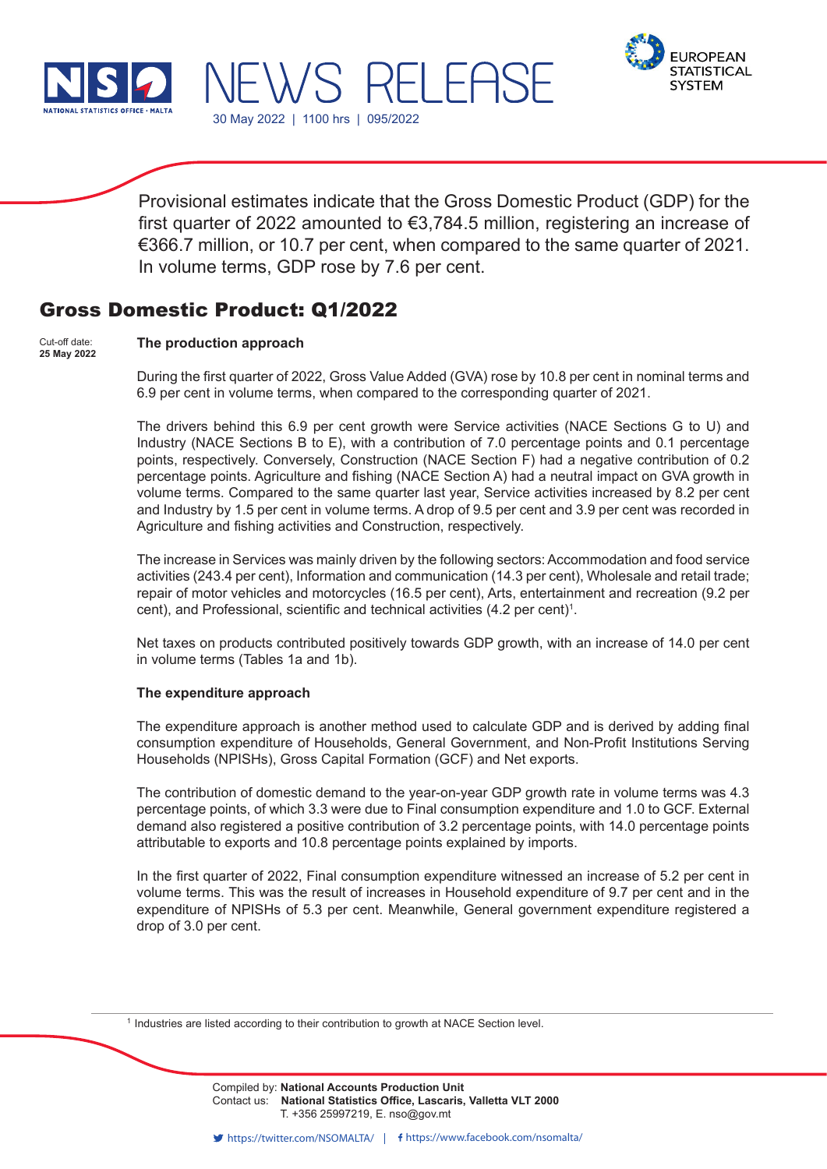



Provisional estimates indicate that the Gross Domestic Product (GDP) for the first quarter of 2022 amounted to €3,784.5 million, registering an increase of €366.7 million, or 10.7 per cent, when compared to the same quarter of 2021. In volume terms, GDP rose by 7.6 per cent.

# Gross Domestic Product: Q1/2022

30 May 2022 | 1100 hrs | 095/2022

WS RELEA!

#### **The production approach** Cut-off date: **25 May 2022**

During the first quarter of 2022, Gross Value Added (GVA) rose by 10.8 per cent in nominal terms and 6.9 per cent in volume terms, when compared to the corresponding quarter of 2021.

The drivers behind this 6.9 per cent growth were Service activities (NACE Sections G to U) and Industry (NACE Sections B to E), with a contribution of 7.0 percentage points and 0.1 percentage points, respectively. Conversely, Construction (NACE Section F) had a negative contribution of 0.2 percentage points. Agriculture and fishing (NACE Section A) had a neutral impact on GVA growth in volume terms. Compared to the same quarter last year, Service activities increased by 8.2 per cent and Industry by 1.5 per cent in volume terms. A drop of 9.5 per cent and 3.9 per cent was recorded in Agriculture and fishing activities and Construction, respectively.

The increase in Services was mainly driven by the following sectors: Accommodation and food service activities (243.4 per cent), Information and communication (14.3 per cent), Wholesale and retail trade; repair of motor vehicles and motorcycles (16.5 per cent), Arts, entertainment and recreation (9.2 per cent), and Professional, scientific and technical activities (4.2 per cent)<sup>1</sup>.

Net taxes on products contributed positively towards GDP growth, with an increase of 14.0 per cent in volume terms (Tables 1a and 1b).

### **The expenditure approach**

The expenditure approach is another method used to calculate GDP and is derived by adding final consumption expenditure of Households, General Government, and Non-Profit Institutions Serving Households (NPISHs), Gross Capital Formation (GCF) and Net exports.

The contribution of domestic demand to the year-on-year GDP growth rate in volume terms was 4.3 percentage points, of which 3.3 were due to Final consumption expenditure and 1.0 to GCF. External demand also registered a positive contribution of 3.2 percentage points, with 14.0 percentage points attributable to exports and 10.8 percentage points explained by imports.

In the first quarter of 2022, Final consumption expenditure witnessed an increase of 5.2 per cent in volume terms. This was the result of increases in Household expenditure of 9.7 per cent and in the expenditure of NPISHs of 5.3 per cent. Meanwhile, General government expenditure registered a drop of 3.0 per cent.

<sup>1</sup> Industries are listed according to their contribution to growth at NACE Section level.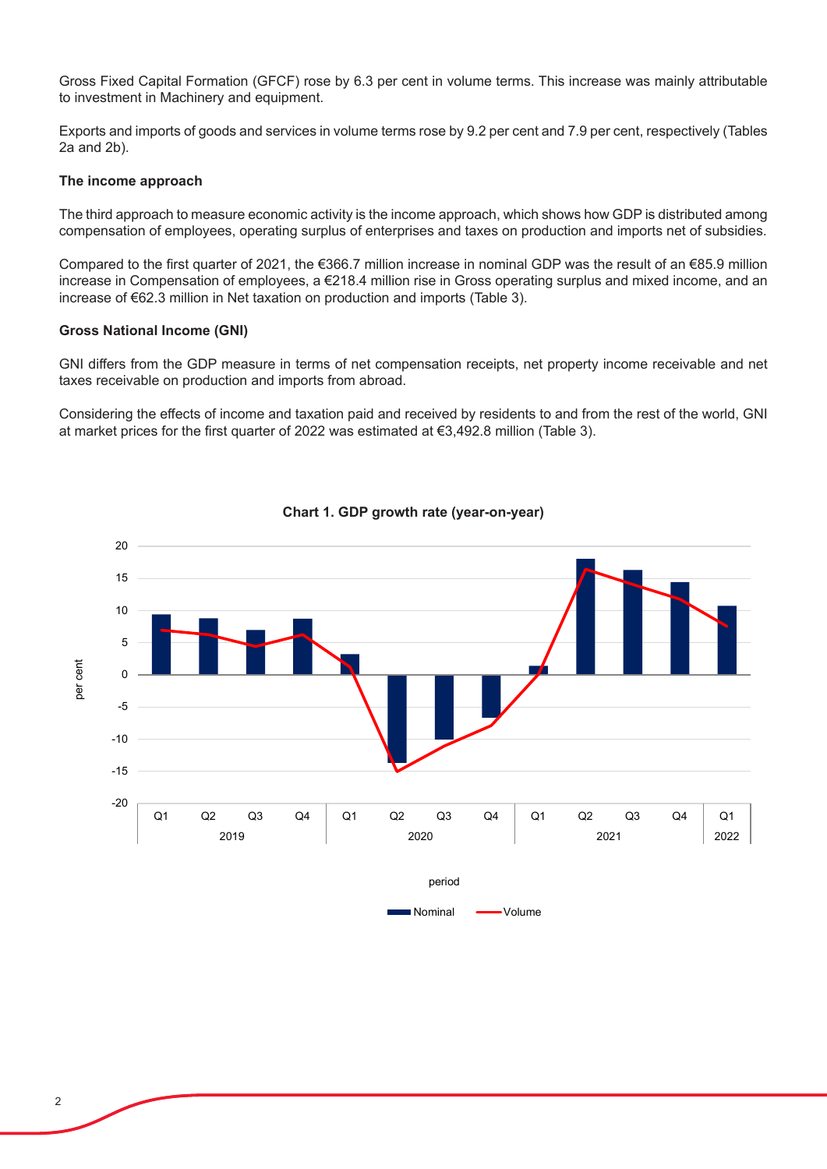Gross Fixed Capital Formation (GFCF) rose by 6.3 per cent in volume terms. This increase was mainly attributable to investment in Machinery and equipment.

Exports and imports of goods and services in volume terms rose by 9.2 per cent and 7.9 per cent, respectively (Tables 2a and 2b).

### **The income approach**

The third approach to measure economic activity is the income approach, which shows how GDP is distributed among compensation of employees, operating surplus of enterprises and taxes on production and imports net of subsidies.

Compared to the first quarter of 2021, the €366.7 million increase in nominal GDP was the result of an €85.9 million increase in Compensation of employees, a €218.4 million rise in Gross operating surplus and mixed income, and an increase of €62.3 million in Net taxation on production and imports (Table 3).

### **Gross National Income (GNI)**

GNI differs from the GDP measure in terms of net compensation receipts, net property income receivable and net taxes receivable on production and imports from abroad.

Considering the effects of income and taxation paid and received by residents to and from the rest of the world, GNI at market prices for the first quarter of 2022 was estimated at €3,492.8 million (Table 3).



# **Chart 1. GDP growth rate (year-on-year) Chart 1. GDP growth rate (year-on-year)**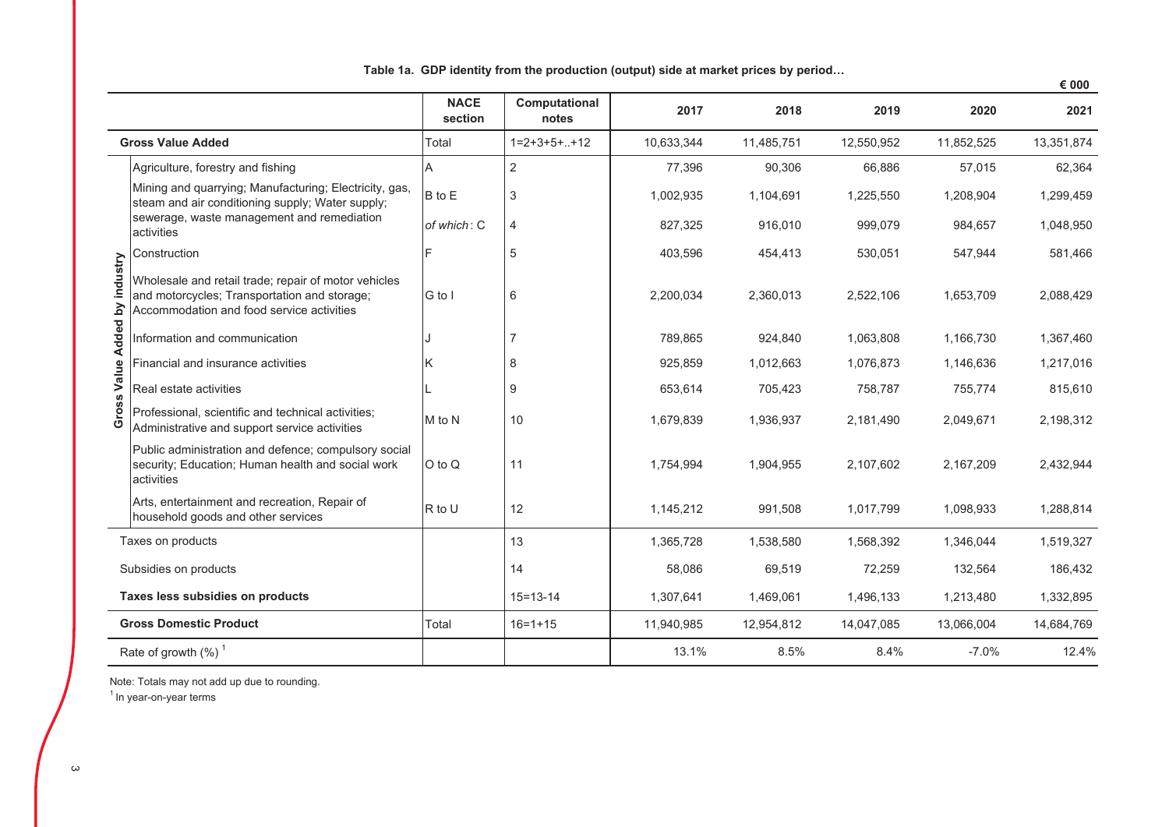|          |                                                                                                                                                   |                        |                        |            |            |            |            | € 000      |
|----------|---------------------------------------------------------------------------------------------------------------------------------------------------|------------------------|------------------------|------------|------------|------------|------------|------------|
|          |                                                                                                                                                   | <b>NACE</b><br>section | Computational<br>notes | 2017       | 2018       | 2019       | 2020       | 2021       |
|          | <b>Gross Value Added</b>                                                                                                                          | Total                  | $1=2+3+5++12$          | 10,633,344 | 11,485,751 | 12,550,952 | 11,852,525 | 13,351,874 |
|          | Agriculture, forestry and fishing                                                                                                                 | A                      | $\overline{2}$         | 77,396     | 90,306     | 66,886     | 57,015     | 62,364     |
|          | Mining and quarrying; Manufacturing; Electricity, gas,<br>steam and air conditioning supply; Water supply;                                        | B to E                 | 3                      | 1,002,935  | 1,104,691  | 1,225,550  | 1,208,904  | 1,299,459  |
|          | sewerage, waste management and remediation<br>activities                                                                                          | of which: C            | 4                      | 827,325    | 916,010    | 999,079    | 984,657    | 1,048,950  |
|          | Construction                                                                                                                                      |                        | 5                      | 403,596    | 454,413    | 530,051    | 547,944    | 581,466    |
| industry | Wholesale and retail trade; repair of motor vehicles<br>and motorcycles; Transportation and storage;<br>Accommodation and food service activities | G to I                 | 6                      | 2,200,034  | 2,360,013  | 2,522,106  | 1,653,709  | 2,088,429  |
| Added by | Information and communication                                                                                                                     |                        |                        | 789,865    | 924,840    | 1,063,808  | 1,166,730  | 1,367,460  |
| Value    | Financial and insurance activities                                                                                                                | ΙK                     | 8                      | 925,859    | 1,012,663  | 1,076,873  | 1,146,636  | 1,217,016  |
|          | Real estate activities                                                                                                                            |                        | 9                      | 653,614    | 705,423    | 758,787    | 755,774    | 815,610    |
| Gross    | Professional, scientific and technical activities;<br>Administrative and support service activities                                               | M to N                 | 10                     | 1,679,839  | 1,936,937  | 2,181,490  | 2,049,671  | 2,198,312  |
|          | Public administration and defence; compulsory social<br>security; Education; Human health and social work<br>activities                           | O to Q                 | 11                     | 1,754,994  | 1,904,955  | 2,107,602  | 2,167,209  | 2,432,944  |
|          | Arts, entertainment and recreation, Repair of<br>household goods and other services                                                               | R to U                 | 12                     | 1,145,212  | 991,508    | 1,017,799  | 1,098,933  | 1,288,814  |
|          | Taxes on products                                                                                                                                 |                        | 13                     | 1,365,728  | 1,538,580  | 1,568,392  | 1,346,044  | 1,519,327  |
|          | Subsidies on products                                                                                                                             |                        | 14                     | 58,086     | 69,519     | 72,259     | 132,564    | 186,432    |
|          | Taxes less subsidies on products                                                                                                                  |                        | $15 = 13 - 14$         | 1,307,641  | 1,469,061  | 1,496,133  | 1,213,480  | 1,332,895  |
|          | <b>Gross Domestic Product</b>                                                                                                                     | Total                  | $16 = 1 + 15$          | 11,940,985 | 12,954,812 | 14,047,085 | 13,066,004 | 14,684,769 |
|          | Rate of growth $(\%)$ <sup>1</sup>                                                                                                                |                        |                        | 13.1%      | 8.5%       | 8.4%       | $-7.0%$    | 12.4%      |

Table 1a. GDP identity from the production (output) side at market prices by period...

Note: Totals may not add up due to rounding.

 $1$  In year-on-year terms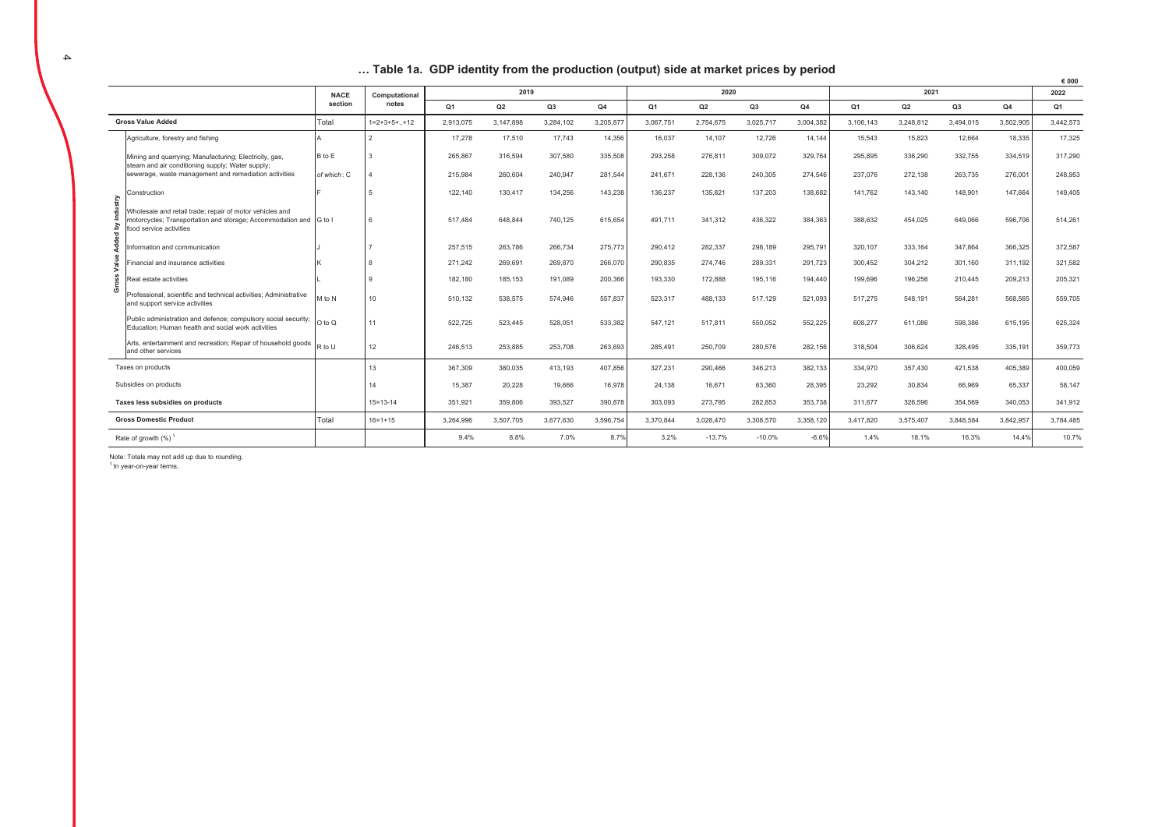| Table 1a. GDP identity from the production (output) side at market prices by period |  |
|-------------------------------------------------------------------------------------|--|
|-------------------------------------------------------------------------------------|--|

|                |                                                                                                                                                          |                                                                                                                                                                   |                |                |           |                |           |                |           |                |           |                |           |           |           | € 000     |
|----------------|----------------------------------------------------------------------------------------------------------------------------------------------------------|-------------------------------------------------------------------------------------------------------------------------------------------------------------------|----------------|----------------|-----------|----------------|-----------|----------------|-----------|----------------|-----------|----------------|-----------|-----------|-----------|-----------|
|                |                                                                                                                                                          | <b>NACE</b>                                                                                                                                                       | Computational  |                | 2019      |                |           |                | 2020      |                |           |                | 2021      |           |           | 2022      |
|                |                                                                                                                                                          | section                                                                                                                                                           | notes          | Q <sub>1</sub> | Q2        | Q <sub>3</sub> | Q4        | Q <sub>1</sub> | Q2        | Q <sub>3</sub> | Q4        | Q <sub>1</sub> | Q2        | Q3        | Q4        | Q1        |
|                | <b>Gross Value Added</b>                                                                                                                                 | Total                                                                                                                                                             | $1=2+3+5++12$  | 2,913,075      | 3,147,898 | 3.284.102      | 3,205,877 | 3.067.751      | 2,754,675 | 3,025,717      | 3,004,382 | 3,106,143      | 3,248,812 | 3,494,015 | 3,502,905 | 3,442,573 |
|                | Agriculture, forestry and fishing                                                                                                                        |                                                                                                                                                                   | $\mathfrak{p}$ | 17,278         | 17,510    | 17,743         | 14,356    | 16,037         | 14,107    | 12,726         | 14,144    | 15,543         | 15,823    | 12,664    | 18,335    | 17,325    |
|                | Mining and quarrying: Manufacturing: Electricity, gas.<br>steam and air conditioning supply; Water supply;                                               | B to E                                                                                                                                                            | 3              | 265,867        | 316.594   | 307.580        | 335,508   | 293,258        | 276,811   | 309,072        | 329,764   | 295.895        | 336,290   | 332.755   | 334.519   | 317,290   |
|                | sewerage, waste management and remediation activities                                                                                                    | of which: C                                                                                                                                                       |                | 215.984        | 260.604   | 240.947        | 281,544   | 241,671        | 228,136   | 240,305        | 274,546   | 237,076        | 272,138   | 263,735   | 276,001   | 248,953   |
|                | Construction                                                                                                                                             |                                                                                                                                                                   |                | 122,140        | 130,417   | 134,256        | 143,238   | 136,237        | 135,821   | 137,203        | 138,682   | 141,762        | 143,140   | 148,901   | 147,664   | 149,405   |
| industry<br>δy | Wholesale and retail trade: repair of motor vehicles and<br>motorcycles; Transportation and storage; Accommodation and G to I<br>food service activities |                                                                                                                                                                   | 6              | 517.484        | 648,844   | 740,125        | 615,654   | 491,711        | 341,312   | 436,322        | 384,363   | 388,632        | 454,025   | 649,066   | 596,706   | 514,261   |
| Added          | nformation and communication                                                                                                                             |                                                                                                                                                                   |                | 257,515        | 263,786   | 266,734        | 275,773   | 290,412        | 282,337   | 298,189        | 295,791   | 320,107        | 333,164   | 347,864   | 366,325   | 372,587   |
| Value          | inancial and insurance activities                                                                                                                        |                                                                                                                                                                   | 8              | 271.242        | 269.691   | 269,870        | 266,070   | 290,835        | 274,746   | 289,331        | 291,723   | 300.452        | 304,212   | 301.160   | 311.192   | 321.582   |
| Gross          | Real estate activities                                                                                                                                   |                                                                                                                                                                   | 9              | 182,180        | 185,153   | 191,089        | 200,366   | 193,330        | 172,888   | 195,116        | 194,440   | 199,696        | 196,256   | 210,445   | 209,213   | 205,321   |
|                | Professional, scientific and technical activities: Administrative<br>and support service activities                                                      | M to N                                                                                                                                                            | 10             | 510.132        | 538.575   | 574.946        | 557.837   | 523.317        | 488,133   | 517.129        | 521.093   | 517.275        | 548.191   | 564.281   | 568,565   | 559,705   |
|                | Public administration and defence; compulsory social security;<br>Education: Human health and social work activities                                     | $O$ to $O$                                                                                                                                                        | 11             | 522,725        | 523,445   | 528,051        | 533,382   | 547,121        | 517,811   | 550,052        | 552,225   | 608,277        | 611,086   | 598,386   | 615,195   | 625,324   |
|                | Arts, entertainment and recreation; Repair of household goods<br>and other services                                                                      | R to U                                                                                                                                                            | 12             | 246,513        | 253,885   | 253,708        | 263,693   | 285,491        | 250,709   | 280,576        | 282,156   | 318,504        | 306,624   | 328,495   | 335,191   | 359,773   |
|                | Taxes on products                                                                                                                                        |                                                                                                                                                                   | 13             | 367,309        | 380,035   | 413,193        | 407,856   | 327,231        | 290,466   | 346,213        | 382,133   | 334,970        | 357,430   | 421,538   | 405,389   | 400,059   |
|                | Subsidies on products                                                                                                                                    |                                                                                                                                                                   | 14             | 15.387         | 20,228    | 19,666         | 16,978    | 24.138         | 16,671    | 63,360         | 28,395    | 23,292         | 30,834    | 66,969    | 65,337    | 58,147    |
|                | Taxes less subsidies on products                                                                                                                         |                                                                                                                                                                   | $15 = 13 - 14$ | 351,921        | 359,806   | 393,527        | 390,878   | 303,093        | 273,795   | 282,853        | 353,738   | 311,677        | 326,596   | 354,569   | 340,053   | 341,912   |
|                | <b>Gross Domestic Product</b>                                                                                                                            | 3,264,996<br>3,507,705<br>3,677,630<br>3,596,754<br>3,370,844<br>3,028,470<br>3,308,570<br>3,358,120<br>3,417,820<br>3,575,407<br>3,848,584<br>Total<br>$16=1+15$ |                | 3,842,957      | 3,784,485 |                |           |                |           |                |           |                |           |           |           |           |
|                | Rate of growth (%) <sup>1</sup>                                                                                                                          |                                                                                                                                                                   |                | 9.4%           | 8.8%      | 7.0%           | 8.7%      | 3.2%           | $-13.7%$  | $-10.0%$       | $-6.6%$   | 1.4%           | 18.1%     | 16.3%     | 14.4%     | 10.7%     |

Note: Totals may not add up due to rounding. <sup>1</sup> In vear-on-vear terms.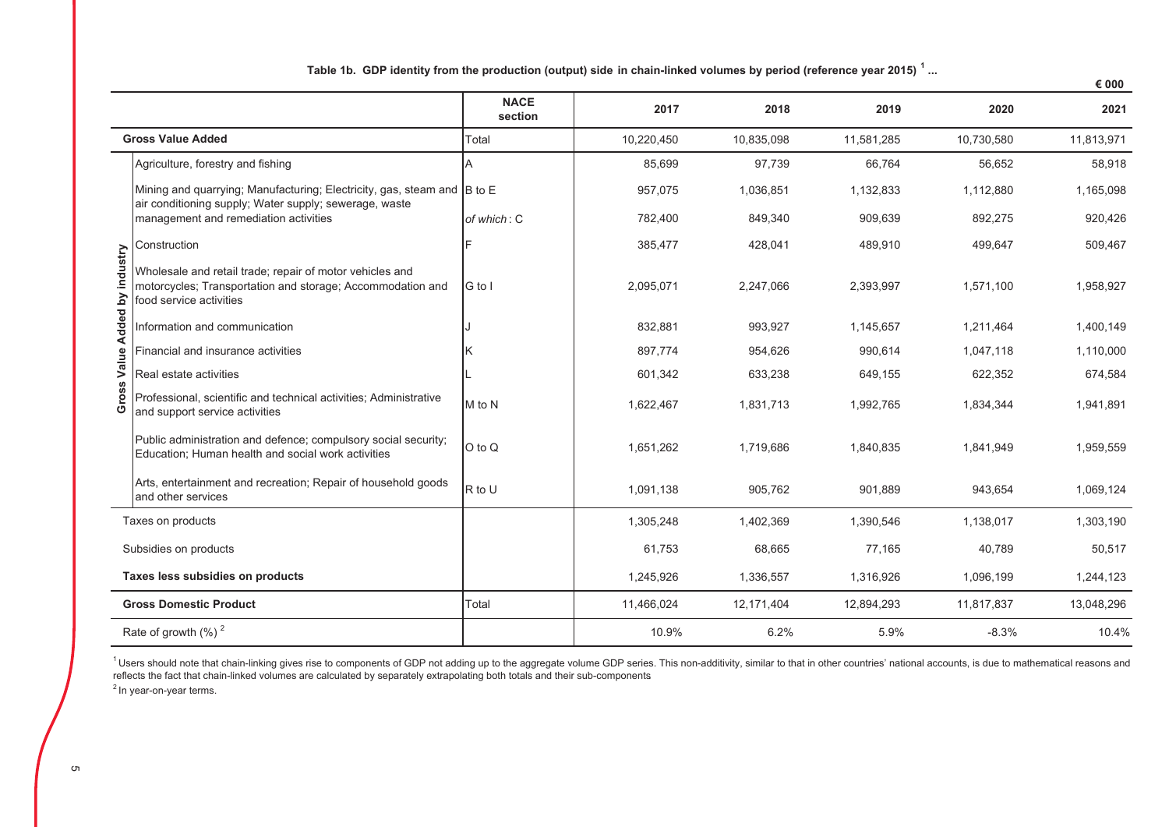|  |  |  | Table 1b. GDP identity from the production (output) side in chain-linked volumes by period (reference year 2015) ' |  |  |  |
|--|--|--|--------------------------------------------------------------------------------------------------------------------|--|--|--|
|  |  |  |                                                                                                                    |  |  |  |

|                               |                                                                                                                                                   |                        |            |            |            |            | € 000      |
|-------------------------------|---------------------------------------------------------------------------------------------------------------------------------------------------|------------------------|------------|------------|------------|------------|------------|
|                               |                                                                                                                                                   | <b>NACE</b><br>section | 2017       | 2018       | 2019       | 2020       | 2021       |
|                               | <b>Gross Value Added</b>                                                                                                                          | Total                  | 10,220,450 | 10,835,098 | 11,581,285 | 10,730,580 | 11,813,971 |
|                               | Agriculture, forestry and fishing                                                                                                                 |                        | 85,699     | 97,739     | 66,764     | 56,652     | 58,918     |
|                               | Mining and quarrying; Manufacturing; Electricity, gas, steam and B to E<br>air conditioning supply; Water supply; sewerage, waste                 |                        | 957,075    | 1,036,851  | 1,132,833  | 1,112,880  | 1,165,098  |
|                               | management and remediation activities                                                                                                             | of which: C            | 782,400    | 849,340    | 909,639    | 892,275    | 920,426    |
|                               | Construction                                                                                                                                      |                        | 385,477    | 428,041    | 489,910    | 499,647    | 509,467    |
| Gross Value Added by industry | Wholesale and retail trade; repair of motor vehicles and<br>motorcycles; Transportation and storage; Accommodation and<br>food service activities | G to I                 | 2,095,071  | 2,247,066  | 2,393,997  | 1,571,100  | 1,958,927  |
|                               | Information and communication                                                                                                                     |                        | 832,881    | 993,927    | 1,145,657  | 1,211,464  | 1,400,149  |
|                               | Financial and insurance activities                                                                                                                | κ                      | 897,774    | 954,626    | 990,614    | 1,047,118  | 1,110,000  |
|                               | Real estate activities                                                                                                                            |                        | 601,342    | 633,238    | 649,155    | 622,352    | 674,584    |
|                               | Professional, scientific and technical activities; Administrative<br>and support service activities                                               | M to N                 | 1,622,467  | 1,831,713  | 1,992,765  | 1,834,344  | 1,941,891  |
|                               | Public administration and defence; compulsory social security;<br>Education; Human health and social work activities                              | O to Q                 | 1,651,262  | 1.719.686  | 1,840,835  | 1,841,949  | 1,959,559  |
|                               | Arts, entertainment and recreation; Repair of household goods<br>and other services                                                               | R to U                 | 1,091,138  | 905,762    | 901,889    | 943,654    | 1,069,124  |
|                               | Taxes on products                                                                                                                                 |                        | 1,305,248  | 1,402,369  | 1,390,546  | 1,138,017  | 1,303,190  |
|                               | Subsidies on products                                                                                                                             |                        | 61,753     | 68,665     | 77,165     | 40,789     | 50,517     |
|                               | Taxes less subsidies on products                                                                                                                  |                        | 1,245,926  | 1,336,557  | 1,316,926  | 1,096,199  | 1,244,123  |
|                               | <b>Gross Domestic Product</b>                                                                                                                     | Total                  | 11,466,024 | 12,171,404 | 12,894,293 | 11,817,837 | 13,048,296 |
|                               | Rate of growth $(\%)$ <sup>2</sup>                                                                                                                |                        | 10.9%      | 6.2%       | 5.9%       | $-8.3%$    | 10.4%      |

<sup>1</sup>Users should note that chain-linking gives rise to components of GDP not adding up to the aggregate volume GDP series. This non-additivity, similar to that in other countries' national accounts, is due to mathematical r

 $2$  In year-on-year terms.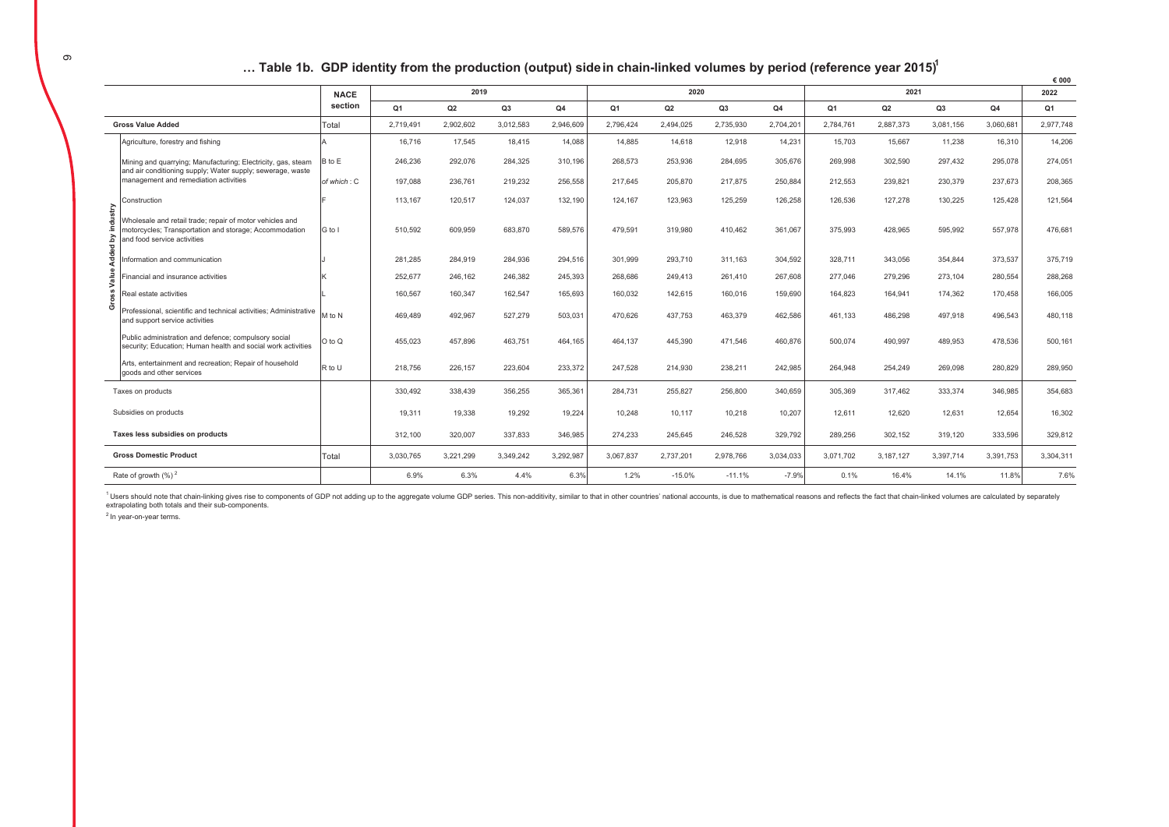### ... Table 1b. GDP identity from the production (output) side in chain-linked volumes by period (reference year 2015)<sup>1</sup>

|                |                                                                                                                                                   |                                                                                                                                                                   |                |           |           |           |           |           |           |           |                |           |                |           | € 000     |
|----------------|---------------------------------------------------------------------------------------------------------------------------------------------------|-------------------------------------------------------------------------------------------------------------------------------------------------------------------|----------------|-----------|-----------|-----------|-----------|-----------|-----------|-----------|----------------|-----------|----------------|-----------|-----------|
|                |                                                                                                                                                   | <b>NACE</b>                                                                                                                                                       |                | 2019      |           |           |           | 2020      |           |           |                | 2021      |                |           | 2022      |
|                |                                                                                                                                                   | section                                                                                                                                                           | Q <sub>1</sub> | Q2        | Q3        | Q4        | Q1        | Q2        | Q3        | Q4        | Q <sub>1</sub> | Q2        | Q <sub>3</sub> | Q4        | Q1        |
|                | <b>Gross Value Added</b>                                                                                                                          | Total                                                                                                                                                             | 2.719.491      | 2.902.602 | 3,012,583 | 2.946.609 | 2.796.424 | 2,494,025 | 2,735,930 | 2,704,201 | 2.784.761      | 2.887.373 | 3,081,156      | 3,060,681 | 2.977.748 |
|                | Agriculture, forestry and fishing                                                                                                                 |                                                                                                                                                                   | 16,716         | 17,545    | 18,415    | 14,088    | 14,885    | 14,618    | 12,918    | 14,231    | 15,703         | 15,667    | 11,238         | 16,310    | 14,206    |
|                | Mining and quarrying; Manufacturing; Electricity, gas, steam<br>and air conditioning supply; Water supply; sewerage, waste                        | B to E                                                                                                                                                            | 246,236        | 292,076   | 284,325   | 310,196   | 268,573   | 253,936   | 284,695   | 305,676   | 269.998        | 302,590   | 297,432        | 295,078   | 274,051   |
|                | management and remediation activities                                                                                                             | of which: C                                                                                                                                                       | 197,088        | 236,761   | 219,232   | 256,558   | 217,645   | 205,870   | 217,875   | 250,884   | 212,553        | 239,821   | 230,379        | 237,673   | 208,365   |
|                | Construction                                                                                                                                      |                                                                                                                                                                   | 113.167        | 120.517   | 124.037   | 132.190   | 124.167   | 123,963   | 125,259   | 126,258   | 126,536        | 127.278   | 130,225        | 125,428   | 121,564   |
| industry<br>7₫ | Wholesale and retail trade: repair of motor vehicles and<br>motorcycles; Transportation and storage; Accommodation<br>and food service activities | G to I                                                                                                                                                            | 510.592        | 609.959   | 683.870   | 589.576   | 479.591   | 319,980   | 410,462   | 361.067   | 375.993        | 428.965   | 595.992        | 557,978   | 476.681   |
| Added I        | nformation and communication                                                                                                                      |                                                                                                                                                                   | 281,285        | 284,919   | 284,936   | 294,516   | 301,999   | 293,710   | 311,163   | 304,592   | 328,711        | 343,056   | 354,844        | 373,537   | 375,719   |
| Value          | inancial and insurance activities                                                                                                                 |                                                                                                                                                                   | 252,677        | 246,162   | 246,382   | 245,393   | 268,686   | 249,413   | 261,410   | 267,608   | 277.046        | 279,296   | 273,104        | 280,554   | 288,268   |
| Gross          | Real estate activities                                                                                                                            |                                                                                                                                                                   | 160.567        | 160.347   | 162.547   | 165.693   | 160.032   | 142,615   | 160,016   | 159,690   | 164.823        | 164.941   | 174.362        | 170.458   | 166,005   |
|                | Professional, scientific and technical activities: Administrative<br>and support service activities                                               | M to N                                                                                                                                                            | 469,489        | 492,967   | 527,279   | 503,031   | 470,626   | 437,753   | 463,379   | 462,586   | 461.133        | 486,298   | 497,918        | 496,543   | 480,118   |
|                | Public administration and defence; compulsory social<br>security; Education; Human health and social work activities                              | $O$ to $O$                                                                                                                                                        | 455,023        | 457,896   | 463,751   | 464,165   | 464,137   | 445,390   | 471,546   | 460,876   | 500,074        | 490,997   | 489,953        | 478,536   | 500,161   |
|                | Arts, entertainment and recreation; Repair of household<br>goods and other services                                                               | R to U                                                                                                                                                            | 218,756        | 226,157   | 223,604   | 233,372   | 247,528   | 214,930   | 238,211   | 242,985   | 264,948        | 254,249   | 269,098        | 280,829   | 289,950   |
|                | Taxes on products                                                                                                                                 |                                                                                                                                                                   | 330,492        | 338,439   | 356,255   | 365,361   | 284,731   | 255,827   | 256,800   | 340,659   | 305.369        | 317.462   | 333,374        | 346,985   | 354,683   |
|                | Subsidies on products                                                                                                                             |                                                                                                                                                                   | 19,311         | 19,338    | 19,292    | 19,224    | 10,248    | 10,117    | 10,218    | 10,207    | 12,611         | 12,620    | 12,631         | 12,654    | 16,302    |
|                | Taxes less subsidies on products                                                                                                                  |                                                                                                                                                                   | 312,100        | 320,007   | 337.833   | 346.985   | 274,233   | 245,645   | 246.528   | 329.792   | 289.256        | 302,152   | 319,120        | 333,596   | 329,812   |
|                | <b>Gross Domestic Product</b>                                                                                                                     | Total<br>3,292,987<br>2,978,766<br>3,391,753<br>3,030,765<br>3,221,299<br>3,349,242<br>3,067,837<br>2,737,201<br>3,034,033<br>3,071,702<br>3,187,127<br>3,397,714 |                |           | 3,304,311 |           |           |           |           |           |                |           |                |           |           |
|                | Rate of growth $(\%)^2$                                                                                                                           |                                                                                                                                                                   | 6.9%           | 6.3%      | 4.4%      | 6.3%      | 1.2%      | $-15.0%$  | $-11.1%$  | $-7.9%$   | 0.1%           | 16.4%     | 14.1%          | 11.8%     | 7.6%      |
|                |                                                                                                                                                   |                                                                                                                                                                   |                |           |           |           |           |           |           |           |                |           |                |           |           |

<sup>1</sup> Users should note that chain-linking gives rise to components of GDP not adding up to the aggregate volume GDP series. This non-additivity, similar to that in other countries' national accounts, is due to mathematical extrapolating both totals and their sub-components.

 $2 \ln y$ ear-on-year terms.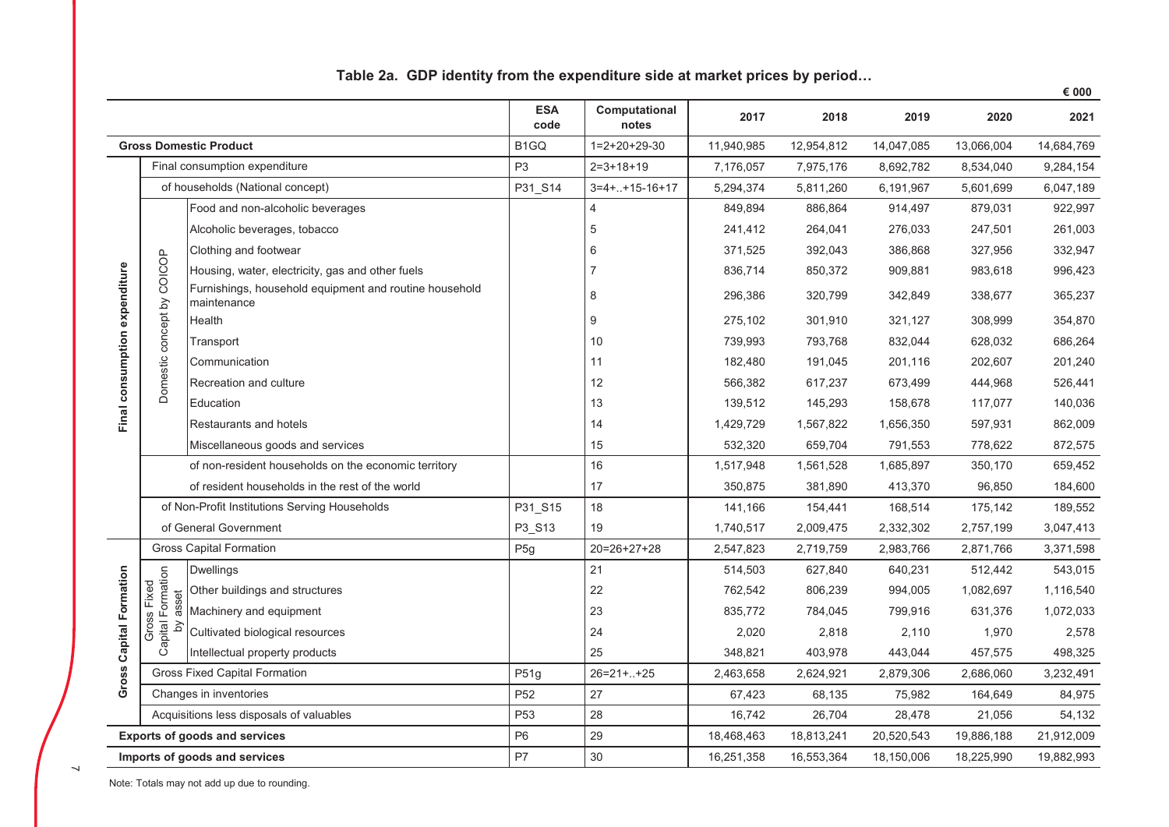|                               |                            |                                                                       |                    |                        |            |            |            |            | € 000      |
|-------------------------------|----------------------------|-----------------------------------------------------------------------|--------------------|------------------------|------------|------------|------------|------------|------------|
|                               |                            |                                                                       | <b>ESA</b><br>code | Computational<br>notes | 2017       | 2018       | 2019       | 2020       | 2021       |
|                               |                            | <b>Gross Domestic Product</b>                                         | B <sub>1</sub> GQ  | $1=2+20+29-30$         | 11,940,985 | 12,954,812 | 14,047,085 | 13,066,004 | 14,684,769 |
|                               |                            | Final consumption expenditure                                         | P <sub>3</sub>     | $2=3+18+19$            | 7,176,057  | 7,975,176  | 8,692,782  | 8,534,040  | 9,284,154  |
|                               |                            | of households (National concept)                                      | P31_S14            | $3=4+.+15-16+17$       | 5,294,374  | 5,811,260  | 6,191,967  | 5,601,699  | 6,047,189  |
|                               |                            | Food and non-alcoholic beverages                                      |                    | $\overline{4}$         | 849,894    | 886,864    | 914,497    | 879,031    | 922,997    |
|                               |                            | Alcoholic beverages, tobacco                                          |                    | 5                      | 241,412    | 264,041    | 276,033    | 247,501    | 261,003    |
|                               |                            | Clothing and footwear                                                 |                    | 6                      | 371,525    | 392,043    | 386,868    | 327,956    | 332,947    |
|                               |                            | Housing, water, electricity, gas and other fuels                      |                    |                        | 836,714    | 850,372    | 909,881    | 983,618    | 996,423    |
| Final consumption expenditure | Domestic concept by COICOP | Furnishings, household equipment and routine household<br>maintenance |                    | 8                      | 296,386    | 320,799    | 342,849    | 338,677    | 365,237    |
|                               |                            | Health                                                                |                    | 9                      | 275,102    | 301,910    | 321,127    | 308,999    | 354,870    |
|                               |                            | Transport                                                             |                    | 10                     | 739,993    | 793,768    | 832,044    | 628,032    | 686,264    |
|                               |                            | Communication                                                         |                    | 11                     | 182,480    | 191,045    | 201,116    | 202,607    | 201,240    |
|                               |                            | Recreation and culture                                                |                    | 12                     | 566,382    | 617,237    | 673,499    | 444,968    | 526,441    |
|                               |                            | Education                                                             |                    | 13                     | 139,512    | 145,293    | 158,678    | 117,077    | 140,036    |
|                               |                            | Restaurants and hotels                                                |                    | 14                     | 1,429,729  | 1,567,822  | 1,656,350  | 597,931    | 862,009    |
|                               |                            | Miscellaneous goods and services                                      |                    | 15                     | 532,320    | 659,704    | 791,553    | 778,622    | 872,575    |
|                               |                            | of non-resident households on the economic territory                  |                    | 16                     | 1,517,948  | 1,561,528  | 1,685,897  | 350,170    | 659,452    |
|                               |                            | of resident households in the rest of the world                       |                    | 17                     | 350,875    | 381,890    | 413,370    | 96,850     | 184,600    |
|                               |                            | of Non-Profit Institutions Serving Households                         | P31_S15            | 18                     | 141,166    | 154,441    | 168,514    | 175,142    | 189,552    |
|                               |                            | of General Government                                                 | P3_S13             | 19                     | 1,740,517  | 2,009,475  | 2,332,302  | 2,757,199  | 3,047,413  |
|                               |                            | <b>Gross Capital Formation</b>                                        | P <sub>5g</sub>    | $20=26+27+28$          | 2,547,823  | 2,719,759  | 2,983,766  | 2,871,766  | 3,371,598  |
|                               |                            | <b>Dwellings</b>                                                      |                    | 21                     | 514,503    | 627,840    | 640,231    | 512,442    | 543,015    |
|                               | Formation<br>Fixed         | Other buildings and structures                                        |                    | 22                     | 762,542    | 806,239    | 994,005    | 1,082,697  | 1,116,540  |
|                               | asset<br>S                 | Machinery and equipment                                               |                    | 23                     | 835,772    | 784,045    | 799,916    | 631,376    | 1,072,033  |
|                               | Capital F<br>Gros          | Cultivated biological resources                                       |                    | 24                     | 2,020      | 2,818      | 2,110      | 1,970      | 2,578      |
|                               |                            | Intellectual property products                                        |                    | 25                     | 348,821    | 403,978    | 443,044    | 457,575    | 498,325    |
| Gross Capital Formation       |                            | <b>Gross Fixed Capital Formation</b>                                  | P51g               | $26=21++25$            | 2,463,658  | 2,624,921  | 2,879,306  | 2,686,060  | 3,232,491  |
|                               |                            | Changes in inventories                                                | P <sub>52</sub>    | 27                     | 67,423     | 68,135     | 75,982     | 164,649    | 84,975     |
|                               |                            | Acquisitions less disposals of valuables                              | P <sub>53</sub>    | 28                     | 16,742     | 26,704     | 28,478     | 21,056     | 54,132     |
|                               |                            | <b>Exports of goods and services</b>                                  | P <sub>6</sub>     | 29                     | 18,468,463 | 18,813,241 | 20,520,543 | 19,886,188 | 21,912,009 |
|                               |                            | Imports of goods and services                                         | P7                 | 30                     | 16,251,358 | 16,553,364 | 18,150,006 | 18,225,990 | 19,882,993 |

## Table 2a. GDP identity from the expenditure side at market prices by period...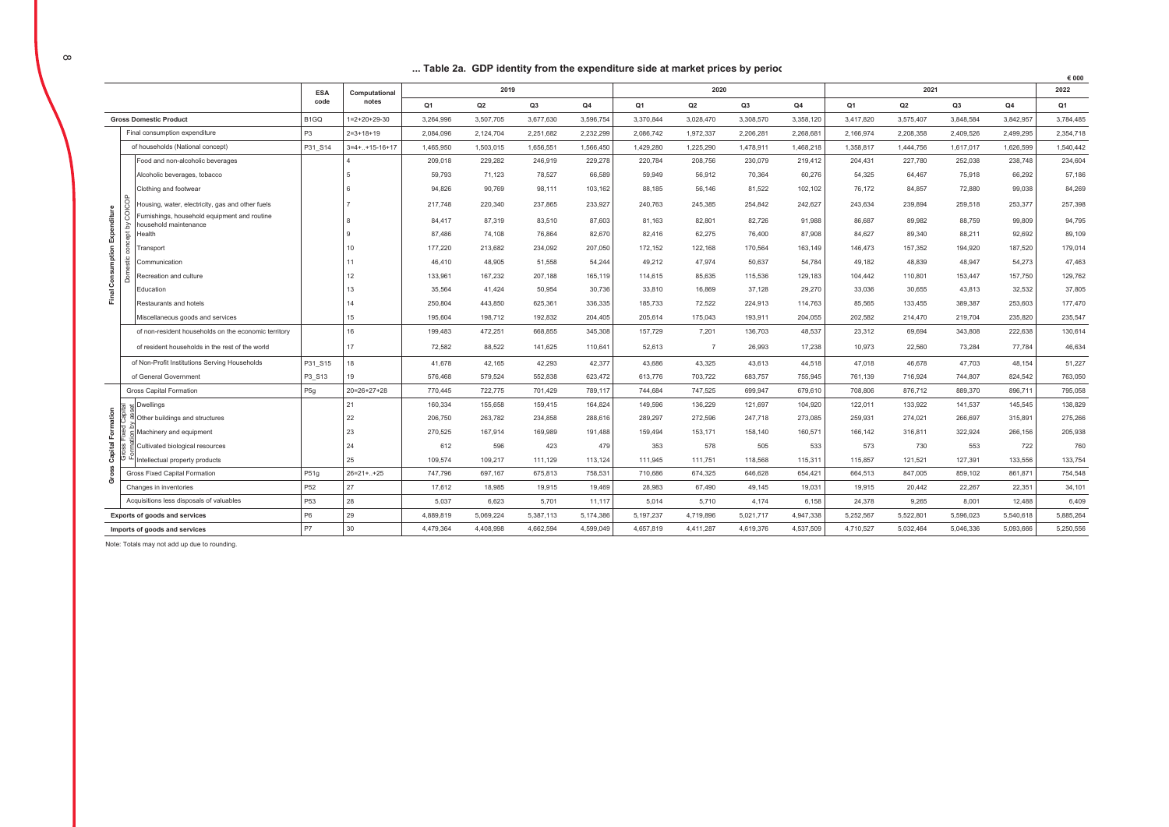### ... Table 2a. GDP identity from the expenditure side at market prices by period

|                                                                                                                                                                       |                                                         |                   |                        |                |           |           |                |                |                |           |                |                |           |           |                | € 000          |
|-----------------------------------------------------------------------------------------------------------------------------------------------------------------------|---------------------------------------------------------|-------------------|------------------------|----------------|-----------|-----------|----------------|----------------|----------------|-----------|----------------|----------------|-----------|-----------|----------------|----------------|
|                                                                                                                                                                       |                                                         | <b>ESA</b>        | Computational          |                | 2019      |           |                |                | 2020           |           |                |                | 2021      |           |                | 2022           |
|                                                                                                                                                                       |                                                         | code              | notes                  | Q <sub>1</sub> | Q2        | Q3        | Q <sub>4</sub> | Q <sub>1</sub> | Q2             | Q3        | Q <sub>4</sub> | Q <sub>1</sub> | Q2        | Q3        | Q <sub>4</sub> | Q <sub>1</sub> |
|                                                                                                                                                                       | <b>Gross Domestic Product</b>                           | B <sub>1</sub> GQ | $1 = 2 + 20 + 29 - 30$ | 3,264,996      | 3,507,705 | 3,677,630 | 3,596,754      | 3,370,844      | 3,028,470      | 3,308,570 | 3,358,120      | 3,417,820      | 3,575,407 | 3,848,584 | 3,842,957      | 3,784,485      |
|                                                                                                                                                                       | Final consumption expenditure                           | P <sub>3</sub>    | $2 = 3 + 18 + 19$      | 2,084,096      | 2,124,704 | 2,251,682 | 2,232,299      | 2,086,742      | 1,972,337      | 2,206,281 | 2,268,68       | 2,166,974      | 2,208,358 | 2,409,526 | 2,499,295      | 2,354,718      |
|                                                                                                                                                                       | of households (National concept)                        | P31 S14           | $3=4+.+15-16+17$       | 1,465,950      | 1,503,015 | 1,656,551 | 1,566,450      | 1,429,280      | 1,225,290      | 1,478,911 | 1,468,218      | 1,358,817      | 1,444,756 | 1,617,017 | 1,626,599      | 1,540,442      |
|                                                                                                                                                                       | Food and non-alcoholic beverages                        |                   |                        | 209.018        | 229.282   | 246.919   | 229,278        | 220.784        | 208,756        | 230.079   | 219.412        | 204.431        | 227,780   | 252.038   | 238,748        | 234.604        |
|                                                                                                                                                                       | Alcoholic beverages, tobacco                            |                   | 5                      | 59,793         | 71,123    | 78,527    | 66,589         | 59,949         | 56,912         | 70,364    | 60,276         | 54,325         | 64.467    | 75,918    | 66,292         | 57,186         |
|                                                                                                                                                                       | Clothing and footwear                                   |                   |                        | 94,826         | 90,769    | 98,111    | 103,162        | 88,185         | 56,146         | 81,522    | 102,102        | 76,172         | 84,857    | 72,880    | 99,038         | 84,269         |
|                                                                                                                                                                       | cop<br>Housing, water, electricity, gas and other fuels |                   |                        | 217,748        | 220,340   | 237,865   | 233,927        | 240,763        | 245,385        | 254,842   | 242,627        | 243,634        | 239,894   | 259,518   | 253,377        | 257,398        |
| Expenditure<br>urnishings, household equipment and routine<br>ousehold maintenance                                                                                    |                                                         |                   |                        | 84.417         | 87.319    | 83.510    | 87.603         | 81.163         | 82.801         | 82.726    | 91.988         | 86.687         | 89.982    | 88.759    | 99.809         | 94.795         |
| lealth                                                                                                                                                                |                                                         |                   |                        | 87.486         | 74,108    | 76,864    | 82,670         | 82,416         | 62,275         | 76,400    | 87,908         | 84,627         | 89,340    | 88,211    | 92,692         | 89,109         |
|                                                                                                                                                                       | ransport                                                |                   | 10                     | 177.220        | 213.682   | 234.092   | 207.050        | 172.152        | 122.168        | 170.564   | 163.149        | 146.473        | 157.352   | 194.920   | 187,520        | 179.014        |
|                                                                                                                                                                       | Communication                                           |                   | 11                     | 46.410         | 48.905    | 51,558    | 54,244         | 49.212         | 47,974         | 50,637    | 54.784         | 49,182         | 48,839    | 48,947    | 54,273         | 47,463         |
|                                                                                                                                                                       | Recreation and culture                                  |                   | 12                     | 133,961        | 167,232   | 207,188   | 165,119        | 114,615        | 85,635         | 115,536   | 129,183        | 104,442        | 110,801   | 153,447   | 157,750        | 129,762        |
| Final Consumption                                                                                                                                                     | Education                                               |                   | 13                     | 35,564         | 41,424    | 50,954    | 30,736         | 33,810         | 16,869         | 37,128    | 29,270         | 33,036         | 30,655    | 43,813    | 32,532         | 37,805         |
|                                                                                                                                                                       | Restaurants and hotels                                  |                   | 14                     | 250,804        | 443,850   | 625,361   | 336,335        | 185,733        | 72.522         | 224,913   | 114,763        | 85,565         | 133,455   | 389.387   | 253,603        | 177,470        |
|                                                                                                                                                                       | Miscellaneous goods and services                        |                   | 15                     | 195,604        | 198,712   | 192,832   | 204,405        | 205,614        | 175,043        | 193,911   | 204,055        | 202,582        | 214,470   | 219,704   | 235,820        | 235,547        |
|                                                                                                                                                                       | of non-resident households on the economic territory    |                   | 16                     | 199,483        | 472,251   | 668,855   | 345,308        | 157,729        | 7,201          | 136,703   | 48,537         | 23,312         | 69,694    | 343,808   | 222,638        | 130,614        |
|                                                                                                                                                                       | of resident households in the rest of the world         |                   | 17                     | 72.582         | 88.522    | 141,625   | 110,641        | 52.613         | $\overline{7}$ | 26,993    | 17,238         | 10.973         | 22,560    | 73.284    | 77.784         | 46,634         |
|                                                                                                                                                                       | of Non-Profit Institutions Serving Households           | P31_S15           | 18                     | 41.678         | 42.165    | 42.293    | 42,377         | 43.686         | 43.325         | 43.613    | 44.518         | 47.018         | 46.678    | 47.703    | 48.154         | 51.227         |
|                                                                                                                                                                       | of General Government                                   | P3_S13            | 19                     | 576,468        | 579,524   | 552,838   | 623,472        | 613,776        | 703,722        | 683,757   | 755,945        | 761,139        | 716,924   | 744,807   | 824,542        | 763,050        |
|                                                                                                                                                                       | <b>Gross Capital Formation</b>                          | P <sub>5g</sub>   | $20=26+27+28$          | 770.445        | 722,775   | 701.429   | 789,117        | 744.684        | 747,525        | 699.947   | 679,610        | 708,806        | 876,712   | 889.370   | 896,711        | 795,058        |
|                                                                                                                                                                       | Dwellings                                               |                   | 21                     | 160,334        | 155,658   | 159,415   | 164,824        | 149,596        | 136,229        | 121,697   | 104,920        | 122,011        | 133,922   | 141,537   | 145,545        | 138.829        |
| mation                                                                                                                                                                | Other buildings and structures                          |                   | 22                     | 206,750        | 263,782   | 234,858   | 288,616        | 289,297        | 272,596        | 247,718   | 273,085        | 259,931        | 274,021   | 266,697   | 315,891        | 275,266        |
| 흢                                                                                                                                                                     | Machinery and equipment                                 |                   | 23                     | 270.525        | 167.914   | 169.989   | 191.488        | 159.494        | 153.171        | 158.140   | 160,571        | 166.142        | 316.811   | 322.924   | 266,156        | 205,938        |
| Capital                                                                                                                                                               | Cultivated biological resources                         |                   | 24                     | 612            | 596       | 423       | 479            | 353            | 578            | 505       | 533            | 573            | 730       | 553       | 722            | 760            |
|                                                                                                                                                                       | ntellectual property products                           |                   | 25                     | 109,574        | 109,217   | 111.129   | 113,124        | 111.945        | 111.751        | 118,568   | 115,311        | 115,857        | 121,521   | 127,391   | 133,556        | 133,754        |
| ō                                                                                                                                                                     | Gross Fixed Capital Formation                           | P51g              | $26=21+.+25$           | 747.796        | 697.167   | 675.813   | 758,531        | 710.686        | 674.325        | 646.628   | 654.421        | 664.513        | 847.005   | 859.102   | 861.871        | 754.548        |
|                                                                                                                                                                       | Changes in inventories                                  | P <sub>52</sub>   | 27                     | 17.612         | 18.985    | 19.915    | 19,469         | 28.983         | 67.490         | 49.145    | 19,031         | 19.915         | 20.442    | 22.267    | 22,351         | 34,101         |
|                                                                                                                                                                       | Acquisitions less disposals of valuables                | P53               | 28                     | 5,037          | 6,623     | 5,701     | 11,117         | 5,014          | 5,710          | 4,174     | 6,158          | 24,378         | 9,265     | 8,001     | 12,488         | 6,409          |
|                                                                                                                                                                       | Exports of goods and services                           | P <sub>6</sub>    | 29                     | 4,889,819      | 5,069,224 | 5,387,113 | 5,174,386      | 5,197,237      | 4,719,896      | 5,021,717 | 4,947,338      | 5,252,567      | 5,522,801 | 5,596,023 | 5,540,618      | 5,885,264      |
| <b>P7</b><br>30<br>4.479.364<br>4,408,998<br>4,662,594<br>4,599,049<br>4.657.819<br>4,411,287<br>4,619,376<br>4,537,509<br>4,710,527<br>Imports of goods and services |                                                         |                   |                        |                |           | 5.032.464 | 5,046,336      | 5,093,666      | 5,250,556      |           |                |                |           |           |                |                |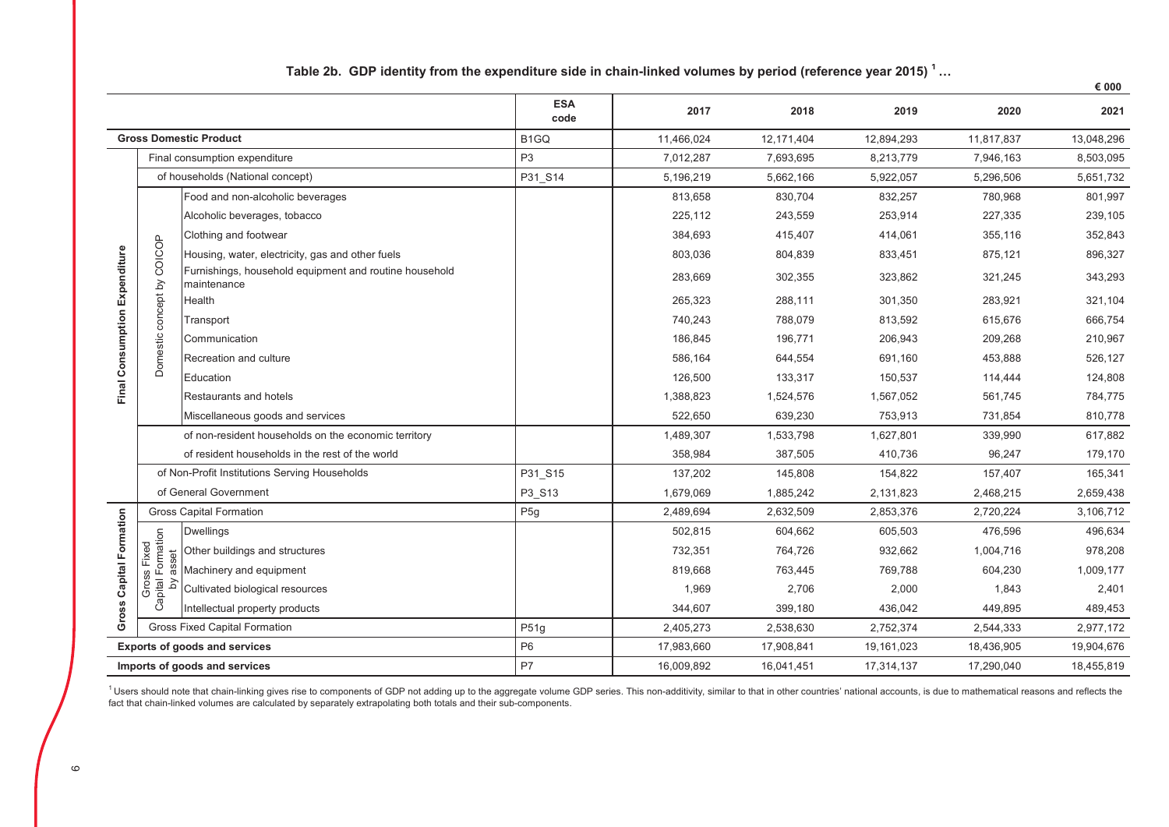|                               |                                  |                                                                       | <b>ESA</b><br>code | 2017       | 2018       | 2019       | 2020       | 2021       |
|-------------------------------|----------------------------------|-----------------------------------------------------------------------|--------------------|------------|------------|------------|------------|------------|
|                               |                                  | <b>Gross Domestic Product</b>                                         | B <sub>1</sub> GQ  | 11,466,024 | 12,171,404 | 12,894,293 | 11,817,837 | 13,048,296 |
|                               |                                  | Final consumption expenditure                                         | P <sub>3</sub>     | 7,012,287  | 7,693,695  | 8,213,779  | 7,946,163  | 8,503,095  |
|                               |                                  | of households (National concept)                                      | P31_S14            | 5,196,219  | 5,662,166  | 5,922,057  | 5,296,506  | 5,651,732  |
|                               |                                  | Food and non-alcoholic beverages                                      |                    | 813,658    | 830,704    | 832,257    | 780,968    | 801,997    |
|                               |                                  | Alcoholic beverages, tobacco                                          |                    | 225,112    | 243,559    | 253,914    | 227,335    | 239,105    |
|                               |                                  | Clothing and footwear                                                 |                    | 384,693    | 415,407    | 414,061    | 355,116    | 352,843    |
|                               |                                  | Housing, water, electricity, gas and other fuels                      |                    | 803,036    | 804,839    | 833,451    | 875,121    | 896,327    |
| Final Consumption Expenditure | Domestic concept by COICOP       | Furnishings, household equipment and routine household<br>maintenance |                    | 283,669    | 302,355    | 323,862    | 321,245    | 343,293    |
|                               |                                  | Health                                                                |                    | 265,323    | 288,111    | 301,350    | 283,921    | 321,104    |
|                               |                                  | Transport                                                             |                    | 740,243    | 788,079    | 813,592    | 615,676    | 666,754    |
|                               |                                  | Communication                                                         |                    | 186,845    | 196,771    | 206,943    | 209,268    | 210,967    |
|                               |                                  | Recreation and culture                                                |                    | 586,164    | 644,554    | 691,160    | 453,888    | 526,127    |
|                               |                                  | Education                                                             |                    | 126,500    | 133,317    | 150,537    | 114,444    | 124,808    |
|                               |                                  | Restaurants and hotels                                                |                    | 1,388,823  | 1,524,576  | 1,567,052  | 561,745    | 784,775    |
|                               |                                  | Miscellaneous goods and services                                      |                    | 522,650    | 639,230    | 753,913    | 731,854    | 810,778    |
|                               |                                  | of non-resident households on the economic territory                  |                    | 1,489,307  | 1,533,798  | 1,627,801  | 339,990    | 617,882    |
|                               |                                  | of resident households in the rest of the world                       |                    | 358,984    | 387,505    | 410.736    | 96,247     | 179,170    |
|                               |                                  | of Non-Profit Institutions Serving Households                         | P31_S15            | 137,202    | 145,808    | 154,822    | 157,407    | 165,341    |
|                               |                                  | of General Government                                                 | P3 S13             | 1,679,069  | 1,885,242  | 2,131,823  | 2,468,215  | 2,659,438  |
|                               |                                  | <b>Gross Capital Formation</b>                                        | P <sub>5g</sub>    | 2,489,694  | 2,632,509  | 2,853,376  | 2,720,224  | 3,106,712  |
| Gross Capital Formation       | Gross Fixed<br>Capital Formation | <b>Dwellings</b>                                                      |                    | 502,815    | 604,662    | 605,503    | 476,596    | 496,634    |
|                               |                                  | Other buildings and structures                                        |                    | 732,351    | 764,726    | 932,662    | 1,004,716  | 978,208    |
|                               | asset                            | Machinery and equipment                                               |                    | 819,668    | 763,445    | 769,788    | 604,230    | 1,009,177  |
|                               | $\geq$                           | Cultivated biological resources                                       |                    | 1,969      | 2,706      | 2,000      | 1,843      | 2,401      |
|                               |                                  | Intellectual property products                                        |                    | 344,607    | 399,180    | 436,042    | 449,895    | 489,453    |
|                               |                                  | <b>Gross Fixed Capital Formation</b>                                  | P51g               | 2,405,273  | 2,538,630  | 2,752,374  | 2,544,333  | 2,977,172  |
|                               |                                  | <b>Exports of goods and services</b>                                  | P <sub>6</sub>     | 17,983,660 | 17,908,841 | 19,161,023 | 18,436,905 | 19,904,676 |
|                               |                                  | Imports of goods and services                                         | P7                 | 16,009,892 | 16,041,451 | 17,314,137 | 17,290,040 | 18,455,819 |

Table 2b. GDP identity from the expenditure side in chain-linked volumes by period (reference year 2015) 1...

 $\epsilon$  000

<sup>1</sup> Users should note that chain-linking gives rise to components of GDP not adding up to the aggregate volume GDP series. This non-additivity, similar to that in other countries' national accounts, is due to mathematical fact that chain-linked volumes are calculated by separately extrapolating both totals and their sub-components.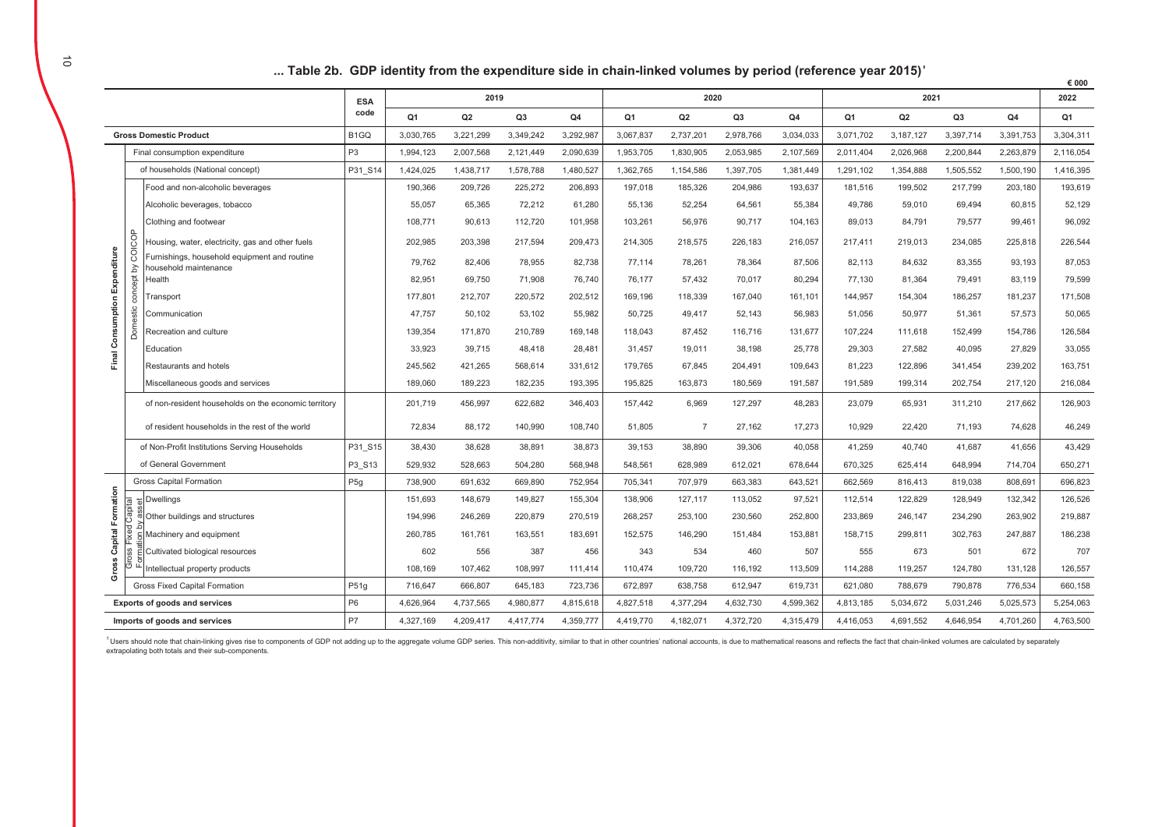|  | Table 2b. GDP identity from the expenditure side in chain-linked volumes by period (reference year 2015)' |  |  |
|--|-----------------------------------------------------------------------------------------------------------|--|--|
|--|-----------------------------------------------------------------------------------------------------------|--|--|

|             |                                                                |                                                      |                   |                |           |                |           |           |                |           |           |           |           |                |           | € 000          |
|-------------|----------------------------------------------------------------|------------------------------------------------------|-------------------|----------------|-----------|----------------|-----------|-----------|----------------|-----------|-----------|-----------|-----------|----------------|-----------|----------------|
|             |                                                                |                                                      | <b>ESA</b>        |                | 2019      |                |           |           | 2020           |           |           |           | 2021      |                |           | 2022           |
|             |                                                                |                                                      | code              | Q <sub>1</sub> | Q2        | Q <sub>3</sub> | Q4        | Q1        | Q <sub>2</sub> | Q3        | Q4        | Q1        | Q2        | Q <sub>3</sub> | Q4        | Q <sub>1</sub> |
|             |                                                                | <b>Gross Domestic Product</b>                        | B <sub>1</sub> GQ | 3,030,765      | 3,221,299 | 3,349,242      | 3,292,987 | 3,067,837 | 2,737,201      | 2,978,766 | 3,034,033 | 3,071,702 | 3,187,127 | 3,397,714      | 3,391,753 | 3,304,311      |
|             |                                                                | Final consumption expenditure                        | P <sub>3</sub>    | 1,994,123      | 2,007,568 | 2,121,449      | 2,090,639 | 1,953,705 | 1,830,905      | 2,053,985 | 2,107,569 | 2,011,404 | 2,026,968 | 2,200,844      | 2,263,879 | 2,116,054      |
|             |                                                                | of households (National concept)                     | P31 S14           | 1,424,025      | 1,438,717 | 1,578,788      | 1,480,527 | 1,362,765 | 1,154,586      | 1,397,705 | 1,381,449 | 1,291,102 | 1,354,888 | 1,505,552      | 1,500,190 | 1,416,395      |
|             |                                                                | Food and non-alcoholic beverages                     |                   | 190,366        | 209,726   | 225,272        | 206,893   | 197,018   | 185,326        | 204,986   | 193,637   | 181,516   | 199,502   | 217,799        | 203,180   | 193,619        |
|             |                                                                | Alcoholic beverages, tobacco                         |                   | 55,057         | 65,365    | 72,212         | 61,280    | 55,136    | 52,254         | 64,561    | 55,384    | 49,786    | 59,010    | 69,494         | 60,815    | 52,129         |
|             |                                                                | Clothing and footwear                                |                   | 108,771        | 90,613    | 112,720        | 101,958   | 103,261   | 56,976         | 90,717    | 104,163   | 89,013    | 84,791    | 79,577         | 99,461    | 96,092         |
|             | 90                                                             | Housing, water, electricity, gas and other fuels     |                   | 202,985        | 203,398   | 217,594        | 209,473   | 214,305   | 218,575        | 226,183   | 216,057   | 217,411   | 219,013   | 234,085        | 225,818   | 226,544        |
|             | $\overline{Q}$<br>Furnishings, household equipment and routine |                                                      |                   | 79,762         | 82,406    | 78,955         | 82,738    | 77,114    | 78,261         | 78,364    | 87,506    | 82,113    | 84,632    | 83,355         | 93,193    | 87,053         |
|             | Expenditure<br>Σ<br>household maintenance<br>Health            |                                                      |                   | 82,951         | 69,750    | 71,908         | 76.740    | 76.177    | 57.432         | 70,017    | 80,294    | 77.130    | 81,364    | 79,491         | 83,119    | 79,599         |
|             | concept                                                        | Transport                                            |                   | 177,801        | 212,707   | 220,572        | 202,512   | 169,196   | 118,339        | 167,040   | 161,101   | 144,957   | 154,304   | 186,257        | 181,237   | 171,508        |
|             |                                                                | Communication                                        |                   | 47,757         | 50,102    | 53,102         | 55,982    | 50,725    | 49,417         | 52,143    | 56,983    | 51,056    | 50,977    | 51,361         | 57,573    | 50,065         |
| Consumption | Domestic                                                       | Recreation and culture                               |                   | 139,354        | 171,870   | 210,789        | 169,148   | 118,043   | 87,452         | 116,716   | 131,677   | 107,224   | 111,618   | 152,499        | 154,786   | 126,584        |
|             |                                                                | Education                                            |                   | 33,923         | 39,715    | 48,418         | 28,481    | 31,457    | 19,011         | 38,198    | 25,778    | 29,303    | 27,582    | 40,095         | 27,829    | 33,055         |
| Final       |                                                                | Restaurants and hotels                               |                   | 245,562        | 421,265   | 568,614        | 331,612   | 179,765   | 67,845         | 204,491   | 109,643   | 81,223    | 122,896   | 341,454        | 239,202   | 163,751        |
|             |                                                                | Miscellaneous goods and services                     |                   | 189,060        | 189,223   | 182,235        | 193,395   | 195,825   | 163,873        | 180,569   | 191,587   | 191,589   | 199,314   | 202,754        | 217,120   | 216,084        |
|             |                                                                | of non-resident households on the economic territory |                   | 201,719        | 456,997   | 622,682        | 346,403   | 157,442   | 6,969          | 127,297   | 48,283    | 23,079    | 65,931    | 311,210        | 217,662   | 126,903        |
|             |                                                                | of resident households in the rest of the world      |                   | 72,834         | 88,172    | 140,990        | 108,740   | 51,805    | $\overline{7}$ | 27,162    | 17,273    | 10,929    | 22,420    | 71,193         | 74,628    | 46,249         |
|             |                                                                | of Non-Profit Institutions Serving Households        | P31 S15           | 38,430         | 38,628    | 38,891         | 38,873    | 39,153    | 38,890         | 39,306    | 40,058    | 41,259    | 40,740    | 41,687         | 41,656    | 43,429         |
|             |                                                                | of General Government                                | P3 S13            | 529,932        | 528,663   | 504,280        | 568,948   | 548,561   | 628,989        | 612,021   | 678.644   | 670,325   | 625,414   | 648,994        | 714,704   | 650,271        |
|             |                                                                | <b>Gross Capital Formation</b>                       | P <sub>5g</sub>   | 738,900        | 691,632   | 669,890        | 752,954   | 705,341   | 707,979        | 663,383   | 643,521   | 662,569   | 816,413   | 819,038        | 808,691   | 696,823        |
| Formation   | $\overline{\mathbb{E}}$                                        | <b>Dwellings</b>                                     |                   | 151,693        | 148,679   | 149,827        | 155,304   | 138,906   | 127,117        | 113,052   | 97,521    | 112,514   | 122,829   | 128,949        | 132,342   | 126,526        |
|             |                                                                | Other buildings and structures                       |                   | 194,996        | 246,269   | 220,879        | 270,519   | 268,257   | 253,100        | 230,560   | 252,800   | 233,869   | 246,147   | 234,290        | 263,902   | 219,887        |
| Capital     |                                                                | Machinery and equipment                              |                   | 260,785        | 161,761   | 163,551        | 183,691   | 152,575   | 146,290        | 151,484   | 153,881   | 158,715   | 299,811   | 302,763        | 247,887   | 186,238        |
|             |                                                                | Cultivated biological resources                      |                   | 602            | 556       | 387            | 456       | 343       | 534            | 460       | 507       | 555       | 673       | 501            | 672       | 707            |
| Gross       |                                                                | Intellectual property products                       |                   | 108,169        | 107,462   | 108,997        | 111,414   | 110,474   | 109,720        | 116,192   | 113,509   | 114,288   | 119,257   | 124,780        | 131,128   | 126,557        |
|             |                                                                | Gross Fixed Capital Formation                        | P51g              | 716,647        | 666,807   | 645,183        | 723,736   | 672,897   | 638,758        | 612,947   | 619,731   | 621,080   | 788,679   | 790,878        | 776,534   | 660,158        |
|             | P <sub>6</sub><br>Exports of goods and services                |                                                      |                   |                | 4,737,565 | 4,980,877      | 4,815,618 | 4,827,518 | 4,377,294      | 4,632,730 | 4,599,362 | 4,813,185 | 5,034,672 | 5,031,246      | 5,025,573 | 5,254,063      |
|             |                                                                | Imports of goods and services                        | <b>P7</b>         | 4,327,169      | 4,209,417 | 4,417,774      | 4,359,777 | 4,419,770 | 4,182,071      | 4,372,720 | 4,315,479 | 4,416,053 | 4,691,552 | 4,646,954      | 4,701,260 | 4,763,500      |

<sup>1</sup> Users should note that chain-linking gives rise to components of GDP not adding up to the aggregate volume GDP series. This non-additivity, similar to that in other countries' national accounts, is due to mathematical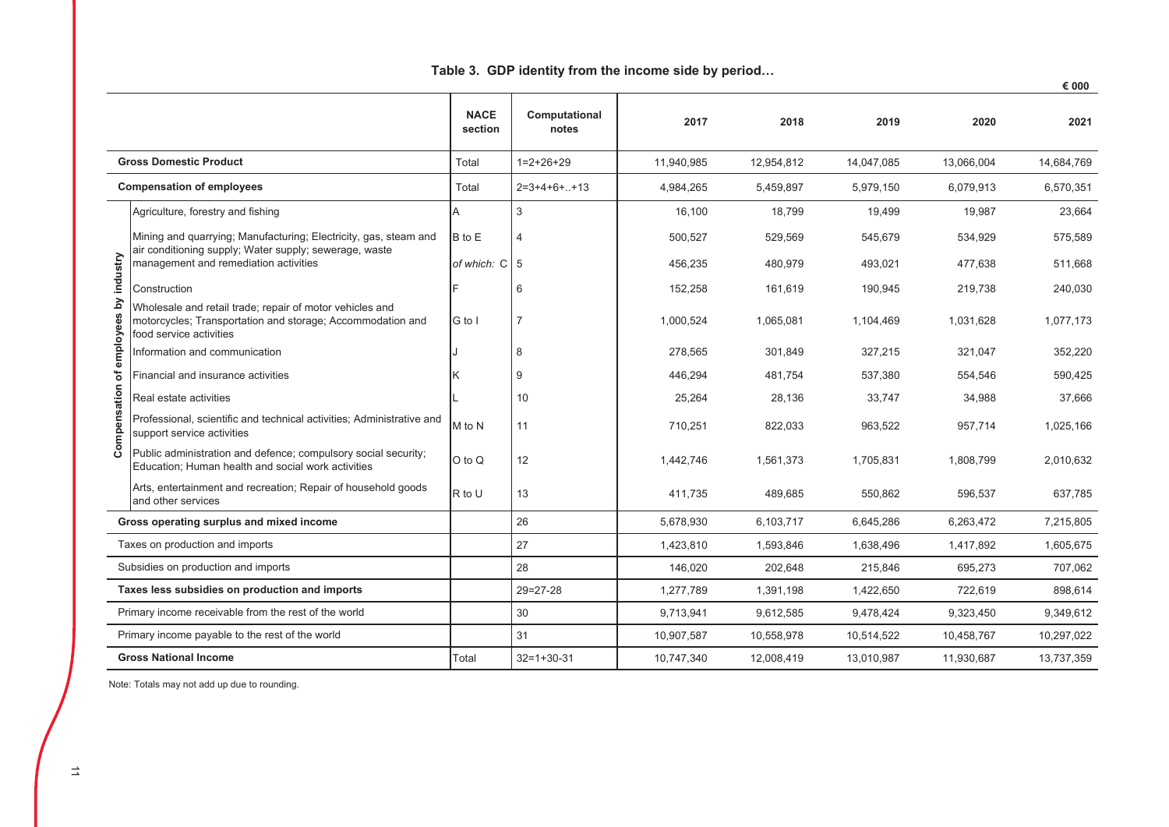|             |                                                                                                                                                   | <b>NACE</b><br>section | Computational<br>notes | 2017       | 2018       | 2019       | 2020       | 2021       |
|-------------|---------------------------------------------------------------------------------------------------------------------------------------------------|------------------------|------------------------|------------|------------|------------|------------|------------|
|             | <b>Gross Domestic Product</b>                                                                                                                     | Total                  | $1=2+26+29$            | 11,940,985 | 12,954,812 | 14,047,085 | 13,066,004 | 14,684,769 |
|             | <b>Compensation of employees</b>                                                                                                                  | Total                  | $2=3+4+6++13$          | 4,984,265  | 5,459,897  | 5,979,150  | 6,079,913  | 6,570,351  |
|             | Agriculture, forestry and fishing                                                                                                                 | А                      | 3                      | 16,100     | 18,799     | 19,499     | 19,987     | 23,664     |
|             | Mining and quarrying; Manufacturing; Electricity, gas, steam and                                                                                  | B to E                 | 4                      | 500,527    | 529,569    | 545,679    | 534,929    | 575,589    |
|             | air conditioning supply; Water supply; sewerage, waste<br>management and remediation activities                                                   | of which: C 5          |                        | 456,235    | 480,979    | 493,021    | 477,638    | 511,668    |
| by industry | Construction                                                                                                                                      |                        | 6                      | 152,258    | 161,619    | 190,945    | 219,738    | 240,030    |
| ees         | Wholesale and retail trade; repair of motor vehicles and<br>motorcycles; Transportation and storage; Accommodation and<br>food service activities | G to I                 |                        | 1,000,524  | 1,065,081  | 1,104,469  | 1,031,628  | 1,077,173  |
| employ      | Information and communication                                                                                                                     |                        | 8                      | 278,565    | 301,849    | 327,215    | 321,047    | 352,220    |
| ቴ           | Financial and insurance activities                                                                                                                |                        | 9                      | 446,294    | 481,754    | 537,380    | 554,546    | 590,425    |
| sation      | Real estate activities                                                                                                                            |                        | 10                     | 25,264     | 28,136     | 33,747     | 34,988     | 37,666     |
| Compen      | Professional, scientific and technical activities; Administrative and<br>support service activities                                               | M to N                 | 11                     | 710,251    | 822,033    | 963,522    | 957,714    | 1,025,166  |
|             | Public administration and defence; compulsory social security;<br>Education; Human health and social work activities                              | $O$ to $Q$             | 12                     | 1,442,746  | 1,561,373  | 1.705.831  | 1,808,799  | 2,010,632  |
|             | Arts, entertainment and recreation; Repair of household goods<br>and other services                                                               | R to U                 | 13                     | 411,735    | 489,685    | 550,862    | 596,537    | 637,785    |
|             | Gross operating surplus and mixed income                                                                                                          |                        | 26                     | 5,678,930  | 6,103,717  | 6,645,286  | 6,263,472  | 7,215,805  |
|             | Taxes on production and imports                                                                                                                   |                        | 27                     | 1,423,810  | 1,593,846  | 1,638,496  | 1,417,892  | 1,605,675  |
|             | Subsidies on production and imports                                                                                                               |                        | 28                     | 146,020    | 202,648    | 215,846    | 695,273    | 707,062    |
|             | Taxes less subsidies on production and imports                                                                                                    |                        | $29 = 27 - 28$         | 1,277,789  | 1,391,198  | 1,422,650  | 722,619    | 898,614    |
|             | Primary income receivable from the rest of the world                                                                                              |                        | 30                     | 9,713,941  | 9,612,585  | 9,478,424  | 9,323,450  | 9,349,612  |
|             | Primary income payable to the rest of the world                                                                                                   |                        | 31                     | 10,907,587 | 10,558,978 | 10,514,522 | 10,458,767 | 10,297,022 |
|             | <b>Gross National Income</b><br>Total                                                                                                             |                        | $32=1+30-31$           | 10,747,340 | 12,008,419 | 13,010,987 | 11,930,687 | 13,737,359 |

### Table 3. GDP identity from the income side by period...

€ 000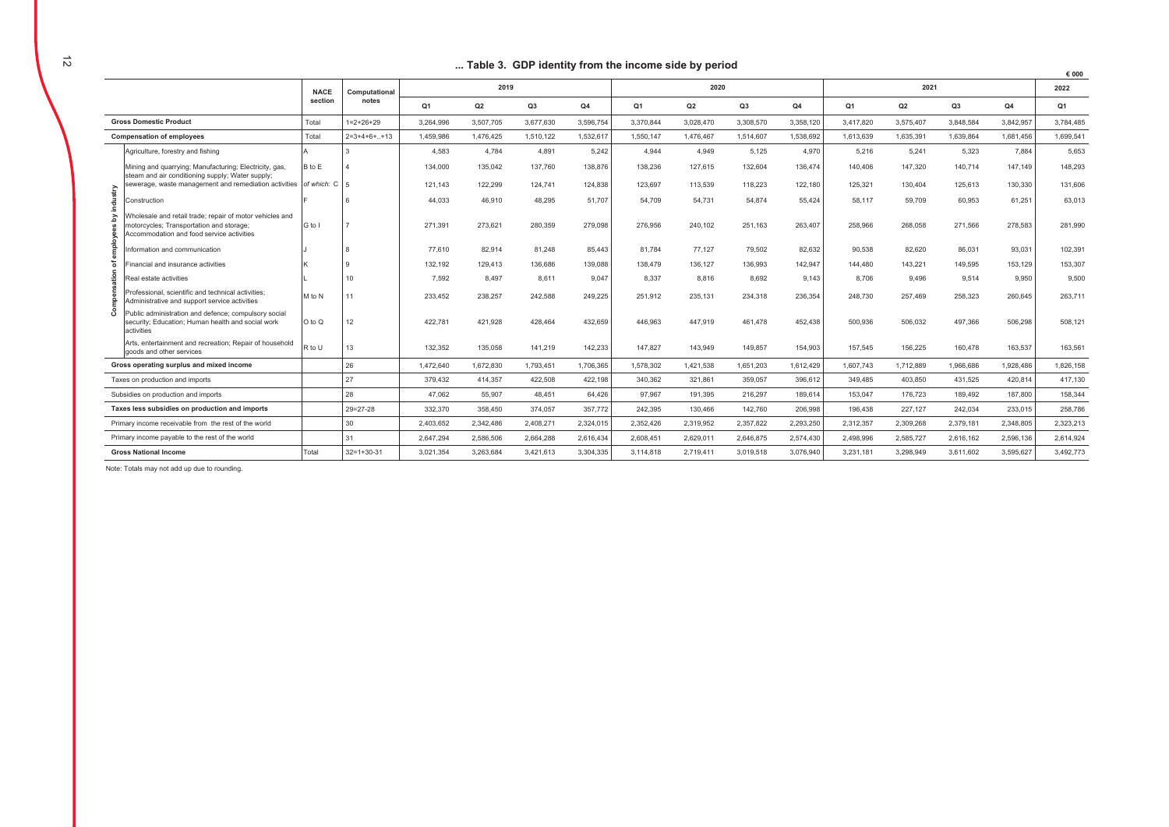### ... Table 3. GDP identity from the income side by period

|                                                      |                                                                                                                                                   |             |                |                |           |           |           | rapie 3. ODF luchtity from the income sluc by period |           |           |           |                |                |           |           | € 000     |
|------------------------------------------------------|---------------------------------------------------------------------------------------------------------------------------------------------------|-------------|----------------|----------------|-----------|-----------|-----------|------------------------------------------------------|-----------|-----------|-----------|----------------|----------------|-----------|-----------|-----------|
|                                                      |                                                                                                                                                   | <b>NACE</b> | Computational  | 2019           |           |           |           | 2020                                                 |           |           |           | 2021           |                |           |           | 2022      |
|                                                      |                                                                                                                                                   | section     | notes          | Q <sub>1</sub> | Q2        | Q3        | Q4        | Q <sub>1</sub>                                       | Q2        | Q3        | Q4        | Q <sub>1</sub> | Q <sub>2</sub> | Q3        | Q4        | Q1        |
| <b>Gross Domestic Product</b>                        |                                                                                                                                                   | Total       | $1=2+26+29$    | 3,264,996      | 3,507,705 | 3,677,630 | 3,596,754 | 3,370,844                                            | 3,028,470 | 3,308,570 | 3,358,120 | 3,417,820      | 3,575,407      | 3,848,584 | 3,842,957 | 3,784,485 |
| <b>Compensation of employees</b>                     |                                                                                                                                                   | Total       | $2=3+4+6++13$  | 1,459,986      | 1,476,425 | 1,510,122 | 1,532,617 | 1,550,147                                            | 1,476,467 | 1,514,607 | 1,538,692 | 1,613,639      | 1,635,391      | 1,639,864 | 1,681,456 | 1,699,541 |
| industry<br>ō                                        | Agriculture, forestry and fishing                                                                                                                 |             |                | 4,583          | 4.784     | 4,891     | 5.242     | 4.944                                                | 4,949     | 5,125     | 4,970     | 5,216          | 5,241          | 5,323     | 7,884     | 5,653     |
|                                                      | Mining and quarrying; Manufacturing; Electricity, gas,<br>steam and air conditioning supply; Water supply;                                        | B to E      |                | 134,000        | 135,042   | 137,760   | 138,876   | 138,236                                              | 127.615   | 132,604   | 136,474   | 140,406        | 147,320        | 140,714   | 147,149   | 148,293   |
|                                                      | sewerage, waste management and remediation activities                                                                                             | of which: C |                | 121.143        | 122.299   | 124,741   | 124,838   | 123.697                                              | 113.539   | 118.223   | 122,180   | 125.321        | 130.404        | 125.613   | 130,330   | 131,606   |
|                                                      | Construction                                                                                                                                      |             |                | 44.033         | 46,910    | 48,295    | 51.707    | 54.709                                               | 54,731    | 54.874    | 55,424    | 58,117         | 59,709         | 60,953    | 61,251    | 63,013    |
|                                                      | Vholesale and retail trade; repair of motor vehicles and<br>motorcycles; Transportation and storage;<br>Accommodation and food service activities | G to I      |                | 271.391        | 273,621   | 280.359   | 279.098   | 276,956                                              | 240,102   | 251,163   | 263,407   | 258,966        | 268,058        | 271,566   | 278,583   | 281,990   |
|                                                      | nformation and communication                                                                                                                      |             |                | 77.610         | 82,914    | 81,248    | 85,443    | 81,784                                               | 77,127    | 79,502    | 82,632    | 90,538         | 82,620         | 86,031    | 93,031    | 102,391   |
|                                                      | inancial and insurance activities                                                                                                                 |             |                | 132,192        | 129,413   | 136,686   | 139,088   | 138,479                                              | 136,127   | 136,993   | 142,947   | 144.480        | 143,221        | 149,595   | 153,129   | 153,307   |
|                                                      | Real estate activities                                                                                                                            |             | 10             | 7,592          | 8,497     | 8,611     | 9,047     | 8,337                                                | 8,816     | 8,692     | 9,143     | 8,706          | 9,496          | 9,514     | 9,950     | 9,500     |
|                                                      | Professional, scientific and technical activities:<br>Administrative and support service activities                                               | M to N      | 11             | 233,452        | 238,257   | 242,588   | 249,225   | 251,912                                              | 235,131   | 234,318   | 236,354   | 248,730        | 257,469        | 258,323   | 260,645   | 263,711   |
|                                                      | Public administration and defence; compulsory social<br>security; Education; Human health and social work<br>activities                           | O to Q      | 12             | 422,781        | 421,928   | 428,464   | 432,659   | 446,963                                              | 447.919   | 461,478   | 452,438   | 500,936        | 506,032        | 497,366   | 506,298   | 508,121   |
|                                                      | Arts, entertainment and recreation; Repair of household<br>goods and other services                                                               | R to U      | 13             | 132,352        | 135,058   | 141,219   | 142,233   | 147,827                                              | 143,949   | 149,857   | 154,903   | 157,545        | 156,225        | 160,478   | 163,537   | 163,561   |
| Gross operating surplus and mixed income             |                                                                                                                                                   |             | 26             | 1.472.640      | 1.672.830 | 1.793.451 | 1.706.365 | 1.578.302                                            | 1.421.538 | 1.651.203 | 1.612.429 | 1.607.743      | 1.712.889      | 1.966.686 | 1.928.486 | 1.826.158 |
| Taxes on production and imports                      |                                                                                                                                                   |             | 27             | 379.432        | 414.357   | 422.508   | 422,198   | 340.362                                              | 321.861   | 359.057   | 396.612   | 349.485        | 403.850        | 431.525   | 420.814   | 417.130   |
| Subsidies on production and imports                  |                                                                                                                                                   |             | 28             | 47.062         | 55,907    | 48.451    | 64.426    | 97.967                                               | 191.395   | 216,297   | 189.614   | 153,047        | 176,723        | 189.492   | 187,800   | 158,344   |
| Taxes less subsidies on production and imports       |                                                                                                                                                   |             | $29 = 27 - 28$ | 332.370        | 358.450   | 374.057   | 357,772   | 242.395                                              | 130.466   | 142.760   | 206.998   | 196.438        | 227.127        | 242,034   | 233,015   | 258,786   |
| Primary income receivable from the rest of the world |                                                                                                                                                   |             | 30             | 2.403.652      | 2.342.486 | 2.408.271 | 2.324.015 | 2.352.426                                            | 2.319.952 | 2.357.822 | 2,293,250 | 2,312,357      | 2,309,268      | 2,379,181 | 2,348,805 | 2.323.213 |
| Primary income payable to the rest of the world      |                                                                                                                                                   |             | 31             | 2,647,294      | 2,586,506 | 2,664,288 | 2,616,434 | 2,608,451                                            | 2,629,011 | 2,646,875 | 2,574,430 | 2,498,996      | 2,585,727      | 2,616,162 | 2,596,136 | 2,614,924 |
| <b>Gross National Income</b>                         |                                                                                                                                                   | Total       | $32=1+30-31$   | 3.021.354      | 3.263.684 | 3,421,613 | 3,304,335 | 3,114,818                                            | 2,719,411 | 3,019,518 | 3,076,940 | 3.231.181      | 3,298,949      | 3.611.602 | 3.595.627 | 3,492,773 |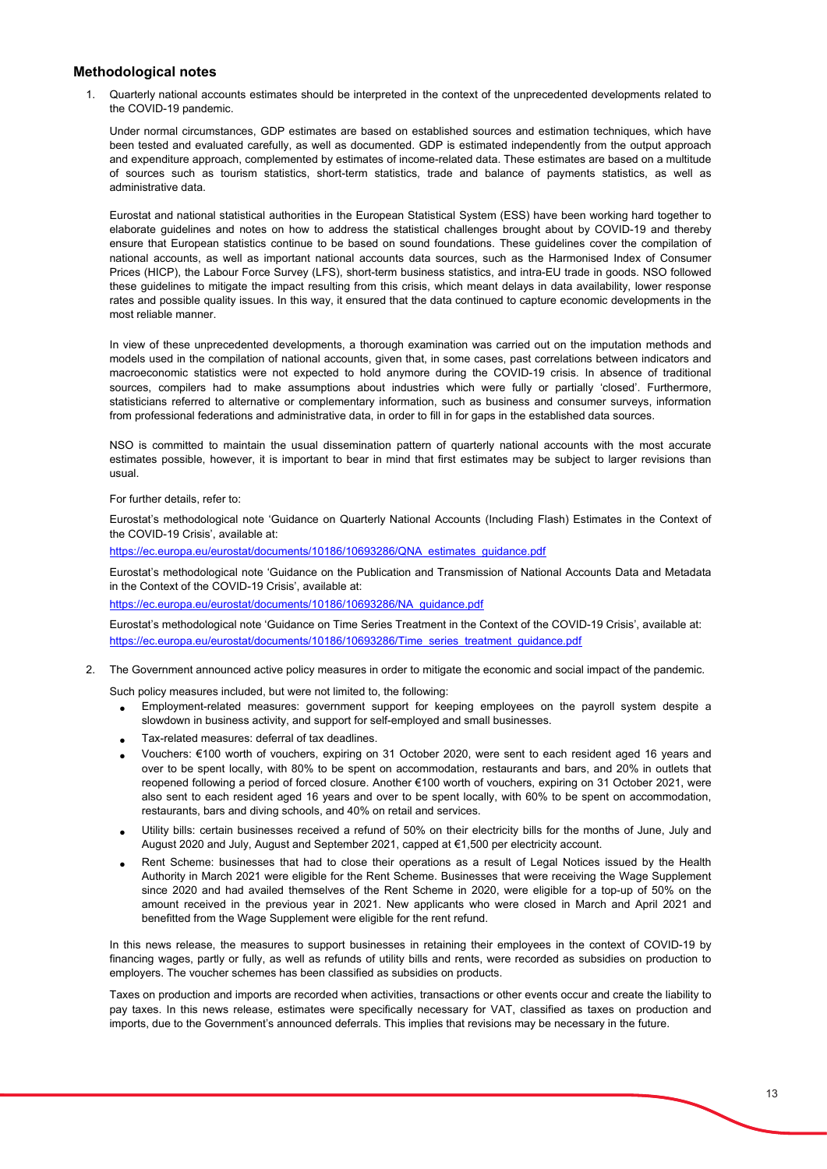### **Methodological notes**

1. Quarterly national accounts estimates should be interpreted in the context of the unprecedented developments related to the COVID-19 pandemic.

Under normal circumstances, GDP estimates are based on established sources and estimation techniques, which have been tested and evaluated carefully, as well as documented. GDP is estimated independently from the output approach and expenditure approach, complemented by estimates of income-related data. These estimates are based on a multitude of sources such as tourism statistics, short-term statistics, trade and balance of payments statistics, as well as administrative data.

Eurostat and national statistical authorities in the European Statistical System (ESS) have been working hard together to elaborate guidelines and notes on how to address the statistical challenges brought about by COVID-19 and thereby ensure that European statistics continue to be based on sound foundations. These guidelines cover the compilation of national accounts, as well as important national accounts data sources, such as the Harmonised Index of Consumer Prices (HICP), the Labour Force Survey (LFS), short-term business statistics, and intra-EU trade in goods. NSO followed these guidelines to mitigate the impact resulting from this crisis, which meant delays in data availability, lower response rates and possible quality issues. In this way, it ensured that the data continued to capture economic developments in the most reliable manner.

In view of these unprecedented developments, a thorough examination was carried out on the imputation methods and models used in the compilation of national accounts, given that, in some cases, past correlations between indicators and macroeconomic statistics were not expected to hold anymore during the COVID-19 crisis. In absence of traditional sources, compilers had to make assumptions about industries which were fully or partially 'closed'. Furthermore, statisticians referred to alternative or complementary information, such as business and consumer surveys, information from professional federations and administrative data, in order to fill in for gaps in the established data sources.

NSO is committed to maintain the usual dissemination pattern of quarterly national accounts with the most accurate estimates possible, however, it is important to bear in mind that first estimates may be subject to larger revisions than usual.

#### For further details, refer to:

Eurostat's methodological note 'Guidance on Quarterly National Accounts (Including Flash) Estimates in the Context of the COVID-19 Crisis', available at:

https://ec.europa.eu/eurostat/documents/10186/10693286/QNA\_estimates\_guidance.pdf

Eurostat's methodological note 'Guidance on the Publication and Transmission of National Accounts Data and Metadata in the Context of the COVID-19 Crisis', available at:

https://ec.europa.eu/eurostat/documents/10186/10693286/NA\_guidance.pdf

Eurostat's methodological note 'Guidance on Time Series Treatment in the Context of the COVID-19 Crisis', available at: https://ec.europa.eu/eurostat/documents/10186/10693286/Time\_series\_treatment\_guidance.pdf

2. The Government announced active policy measures in order to mitigate the economic and social impact of the pandemic.

Such policy measures included, but were not limited to, the following:

- Employment-related measures: government support for keeping employees on the payroll system despite a slowdown in business activity, and support for self-employed and small businesses.
- Tax-related measures: deferral of tax deadlines.
- Vouchers: €100 worth of vouchers, expiring on 31 October 2020, were sent to each resident aged 16 years and over to be spent locally, with 80% to be spent on accommodation, restaurants and bars, and 20% in outlets that reopened following a period of forced closure. Another €100 worth of vouchers, expiring on 31 October 2021, were also sent to each resident aged 16 years and over to be spent locally, with 60% to be spent on accommodation, restaurants, bars and diving schools, and 40% on retail and services.
- Utility bills: certain businesses received a refund of 50% on their electricity bills for the months of June, July and August 2020 and July, August and September 2021, capped at €1,500 per electricity account.
- Rent Scheme: businesses that had to close their operations as a result of Legal Notices issued by the Health Authority in March 2021 were eligible for the Rent Scheme. Businesses that were receiving the Wage Supplement since 2020 and had availed themselves of the Rent Scheme in 2020, were eligible for a top-up of 50% on the amount received in the previous year in 2021. New applicants who were closed in March and April 2021 and benefitted from the Wage Supplement were eligible for the rent refund.

In this news release, the measures to support businesses in retaining their employees in the context of COVID-19 by financing wages, partly or fully, as well as refunds of utility bills and rents, were recorded as subsidies on production to employers. The voucher schemes has been classified as subsidies on products.

Taxes on production and imports are recorded when activities, transactions or other events occur and create the liability to pay taxes. In this news release, estimates were specifically necessary for VAT, classified as taxes on production and imports, due to the Government's announced deferrals. This implies that revisions may be necessary in the future.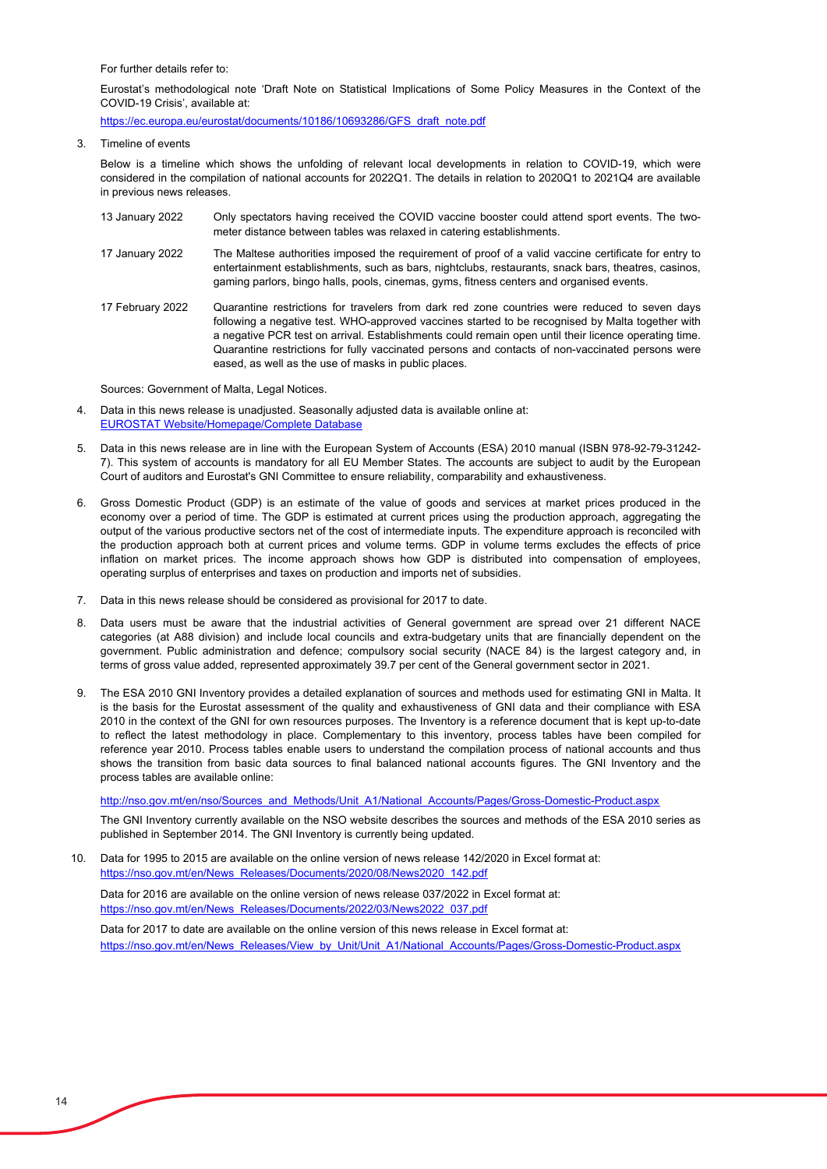For further details refer to:

Eurostat's methodological note 'Draft Note on Statistical Implications of Some Policy Measures in the Context of the COVID-19 Crisis', available at:

https://ec.europa.eu/eurostat/documents/10186/10693286/GFS\_draft\_note.pdf

Timeline of events

Below is a timeline which shows the unfolding of relevant local developments in relation to COVID-19, which were considered in the compilation of national accounts for 2022Q1. The details in relation to 2020Q1 to 2021Q4 are available in previous news releases.

- 13 January 2022 Only spectators having received the COVID vaccine booster could attend sport events. The twometer distance between tables was relaxed in catering establishments.
- 17 January 2022 The Maltese authorities imposed the requirement of proof of a valid vaccine certificate for entry to entertainment establishments, such as bars, nightclubs, restaurants, snack bars, theatres, casinos, gaming parlors, bingo halls, pools, cinemas, gyms, fitness centers and organised events.
- 17 February 2022 Quarantine restrictions for travelers from dark red zone countries were reduced to seven days following a negative test. WHO-approved vaccines started to be recognised by Malta together with a negative PCR test on arrival. Establishments could remain open until their licence operating time. Quarantine restrictions for fully vaccinated persons and contacts of non-vaccinated persons were eased, as well as the use of masks in public places.

Sources: Government of Malta, Legal Notices.

- 4. Data in this news release is unadjusted. Seasonally adjusted data is available online at: EUROSTAT Website/Homepage/Complete Database
- 5. [Data in this news release are in line with the European Sy](https://ec.europa.eu/eurostat/data/database)stem of Accounts (ESA) 2010 manual (ISBN 978-92-79-31242- 7). This system of accounts is mandatory for all EU Member States. The accounts are subject to audit by the European Court of auditors and Eurostat's GNI Committee to ensure reliability, comparability and exhaustiveness.
- 6. Gross Domestic Product (GDP) is an estimate of the value of goods and services at market prices produced in the economy over a period of time. The GDP is estimated at current prices using the production approach, aggregating the output of the various productive sectors net of the cost of intermediate inputs. The expenditure approach is reconciled with the production approach both at current prices and volume terms. GDP in volume terms excludes the effects of price inflation on market prices. The income approach shows how GDP is distributed into compensation of employees, operating surplus of enterprises and taxes on production and imports net of subsidies.
- 7. Data in this news release should be considered as provisional for 2017 to date.
- 8. Data users must be aware that the industrial activities of General government are spread over 21 different NACE categories (at A88 division) and include local councils and extra-budgetary units that are financially dependent on the government. Public administration and defence; compulsory social security (NACE 84) is the largest category and, in terms of gross value added, represented approximately 39.7 per cent of the General government sector in 2021.
- 9. The ESA 2010 GNI Inventory provides a detailed explanation of sources and methods used for estimating GNI in Malta. It is the basis for the Eurostat assessment of the quality and exhaustiveness of GNI data and their compliance with ESA 2010 in the context of the GNI for own resources purposes. The Inventory is a reference document that is kept up-to-date to reflect the latest methodology in place. Complementary to this inventory, process tables have been compiled for reference year 2010. Process tables enable users to understand the compilation process of national accounts and thus shows the transition from basic data sources to final balanced national accounts figures. The GNI Inventory and the process tables are available online:

http://nso.gov.mt/en/nso/Sources\_and\_Methods/Unit\_A1/National\_Accounts/Pages/Gross-Domestic-Product.aspx

The GNI Inventory currently available on the NSO website describes the sources and methods of the ESA 2010 series as published in September 2014. The GNI Inventory is currently being updated.

10. https://nso.gov.mt/en/News\_Releases/Documents/2020/08/News2020\_142.pdf Data for 1995 to 2015 are available on the online version of news release 142/2020 in Excel format at:

Data for 2016 are available on the online version of news release 037/2022 in Excel format at: https://nso.gov.mt/en/News\_Releases/Documents/2022/03/News2022\_037.pdf

Data for 2017 to date are available on the online version of this news release in Excel format at: https://nso.gov.mt/en/News\_Releases/View\_by\_Unit/Unit\_A1/National\_Accounts/Pages/Gross-Domestic-Product.aspx